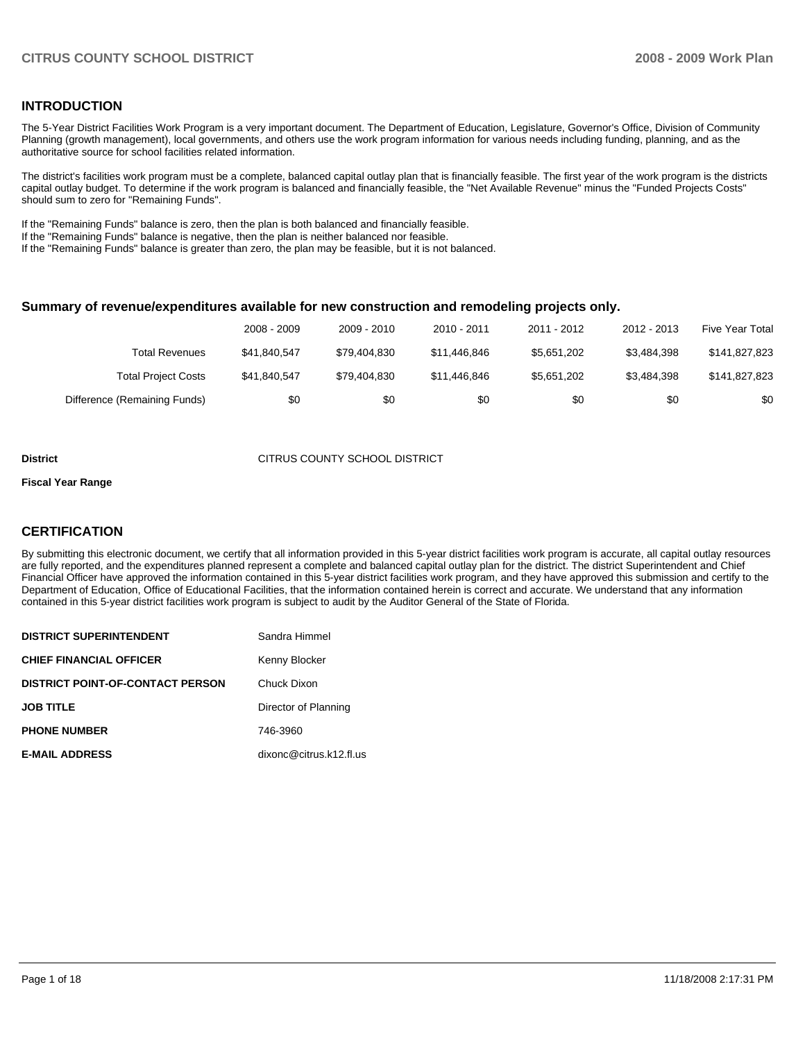### **INTRODUCTION**

The 5-Year District Facilities Work Program is a very important document. The Department of Education, Legislature, Governor's Office, Division of Community Planning (growth management), local governments, and others use the work program information for various needs including funding, planning, and as the authoritative source for school facilities related information.

The district's facilities work program must be a complete, balanced capital outlay plan that is financially feasible. The first year of the work program is the districts capital outlay budget. To determine if the work program is balanced and financially feasible, the "Net Available Revenue" minus the "Funded Projects Costs" should sum to zero for "Remaining Funds".

If the "Remaining Funds" balance is zero, then the plan is both balanced and financially feasible.

If the "Remaining Funds" balance is negative, then the plan is neither balanced nor feasible.

If the "Remaining Funds" balance is greater than zero, the plan may be feasible, but it is not balanced.

#### **Summary of revenue/expenditures available for new construction and remodeling projects only.**

|                              | 2008 - 2009  | 2009 - 2010  | $2010 - 2011$ | 2011 - 2012 | 2012 - 2013 | Five Year Total |
|------------------------------|--------------|--------------|---------------|-------------|-------------|-----------------|
| Total Revenues               | \$41.840.547 | \$79.404.830 | \$11.446.846  | \$5.651.202 | \$3.484.398 | \$141,827,823   |
| <b>Total Project Costs</b>   | \$41.840.547 | \$79.404.830 | \$11.446.846  | \$5.651.202 | \$3.484.398 | \$141.827.823   |
| Difference (Remaining Funds) | \$0          | \$0          | \$0           | \$0         | \$0         | \$0             |

#### **District** CITRUS COUNTY SCHOOL DISTRICT

#### **Fiscal Year Range**

#### **CERTIFICATION**

By submitting this electronic document, we certify that all information provided in this 5-year district facilities work program is accurate, all capital outlay resources are fully reported, and the expenditures planned represent a complete and balanced capital outlay plan for the district. The district Superintendent and Chief Financial Officer have approved the information contained in this 5-year district facilities work program, and they have approved this submission and certify to the Department of Education, Office of Educational Facilities, that the information contained herein is correct and accurate. We understand that any information contained in this 5-year district facilities work program is subject to audit by the Auditor General of the State of Florida.

| <b>DISTRICT SUPERINTENDENT</b>          | Sandra Himmel           |
|-----------------------------------------|-------------------------|
| <b>CHIEF FINANCIAL OFFICER</b>          | Kenny Blocker           |
| <b>DISTRICT POINT-OF-CONTACT PERSON</b> | Chuck Dixon             |
| <b>JOB TITLE</b>                        | Director of Planning    |
| <b>PHONE NUMBER</b>                     | 746-3960                |
| <b>E-MAIL ADDRESS</b>                   | dixonc@citrus.k12.fl.us |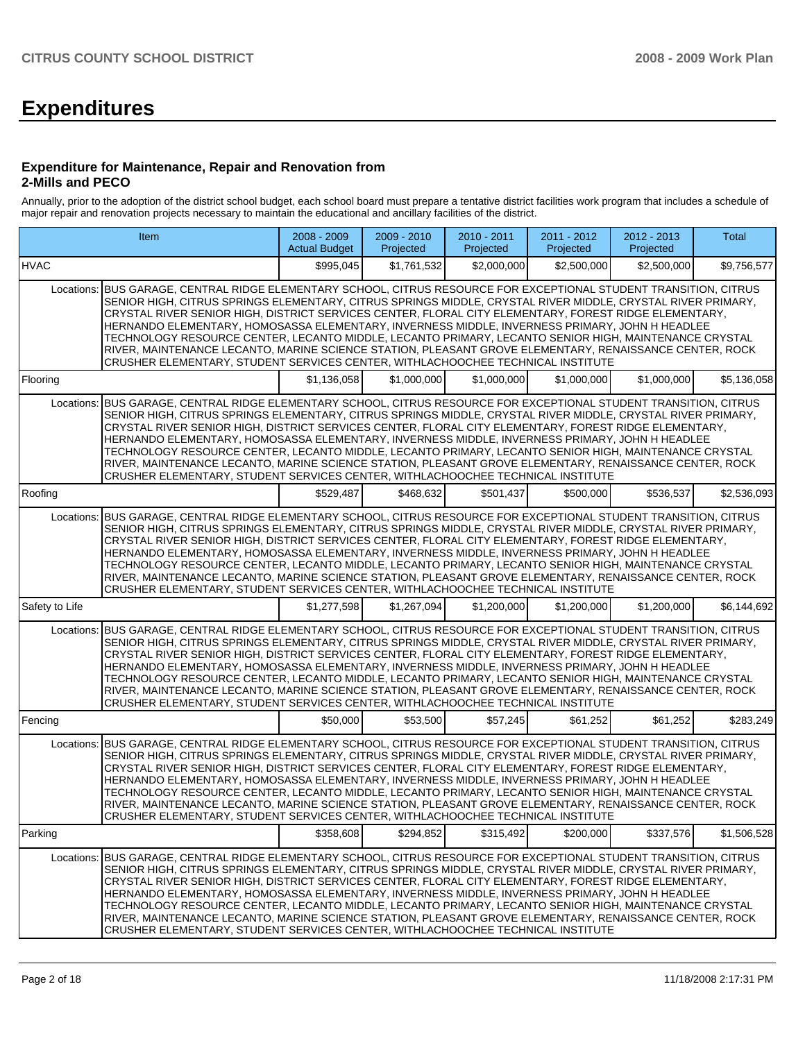# **Expenditures**

#### **Expenditure for Maintenance, Repair and Renovation from 2-Mills and PECO**

Annually, prior to the adoption of the district school budget, each school board must prepare a tentative district facilities work program that includes a schedule of major repair and renovation projects necessary to maintain the educational and ancillary facilities of the district.

|                | Item                                                                                                                                                                                                                                                                                                                                                                                                                                                                                                                                                                                                                                                                                                                                                | $2008 - 2009$<br><b>Actual Budget</b> | 2009 - 2010<br>Projected | 2010 - 2011<br>Projected | $2011 - 2012$<br>Projected | 2012 - 2013<br>Projected | Total       |
|----------------|-----------------------------------------------------------------------------------------------------------------------------------------------------------------------------------------------------------------------------------------------------------------------------------------------------------------------------------------------------------------------------------------------------------------------------------------------------------------------------------------------------------------------------------------------------------------------------------------------------------------------------------------------------------------------------------------------------------------------------------------------------|---------------------------------------|--------------------------|--------------------------|----------------------------|--------------------------|-------------|
| <b>HVAC</b>    |                                                                                                                                                                                                                                                                                                                                                                                                                                                                                                                                                                                                                                                                                                                                                     | \$995,045                             | \$1.761.532              | \$2,000,000              | \$2,500,000                | \$2,500,000              | \$9,756,577 |
|                | Locations: BUS GARAGE, CENTRAL RIDGE ELEMENTARY SCHOOL, CITRUS RESOURCE FOR EXCEPTIONAL STUDENT TRANSITION, CITRUS<br>SENIOR HIGH, CITRUS SPRINGS ELEMENTARY, CITRUS SPRINGS MIDDLE, CRYSTAL RIVER MIDDLE, CRYSTAL RIVER PRIMARY,<br>CRYSTAL RIVER SENIOR HIGH, DISTRICT SERVICES CENTER, FLORAL CITY ELEMENTARY, FOREST RIDGE ELEMENTARY,<br>HERNANDO ELEMENTARY, HOMOSASSA ELEMENTARY, INVERNESS MIDDLE, INVERNESS PRIMARY, JOHN H HEADLEE<br>TECHNOLOGY RESOURCE CENTER, LECANTO MIDDLE, LECANTO PRIMARY, LECANTO SENIOR HIGH, MAINTENANCE CRYSTAL<br>RIVER, MAINTENANCE LECANTO, MARINE SCIENCE STATION, PLEASANT GROVE ELEMENTARY, RENAISSANCE CENTER, ROCK<br>CRUSHER ELEMENTARY, STUDENT SERVICES CENTER, WITHLACHOOCHEE TECHNICAL INSTITUTE |                                       |                          |                          |                            |                          |             |
| Flooring       |                                                                                                                                                                                                                                                                                                                                                                                                                                                                                                                                                                                                                                                                                                                                                     | \$1,136,058                           | \$1,000,000              | \$1,000,000              | \$1,000,000                | \$1,000,000              | \$5,136,058 |
| Locations:     | BUS GARAGE, CENTRAL RIDGE ELEMENTARY SCHOOL, CITRUS RESOURCE FOR EXCEPTIONAL STUDENT TRANSITION, CITRUS<br>SENIOR HIGH, CITRUS SPRINGS ELEMENTARY, CITRUS SPRINGS MIDDLE, CRYSTAL RIVER MIDDLE, CRYSTAL RIVER PRIMARY,<br>CRYSTAL RIVER SENIOR HIGH, DISTRICT SERVICES CENTER, FLORAL CITY ELEMENTARY, FOREST RIDGE ELEMENTARY,<br>HERNANDO ELEMENTARY, HOMOSASSA ELEMENTARY, INVERNESS MIDDLE, INVERNESS PRIMARY, JOHN H HEADLEE<br>TECHNOLOGY RESOURCE CENTER, LECANTO MIDDLE, LECANTO PRIMARY, LECANTO SENIOR HIGH, MAINTENANCE CRYSTAL<br>RIVER, MAINTENANCE LECANTO, MARINE SCIENCE STATION, PLEASANT GROVE ELEMENTARY, RENAISSANCE CENTER, ROCK<br>CRUSHER ELEMENTARY, STUDENT SERVICES CENTER, WITHLACHOOCHEE TECHNICAL INSTITUTE            |                                       |                          |                          |                            |                          |             |
| Roofing        |                                                                                                                                                                                                                                                                                                                                                                                                                                                                                                                                                                                                                                                                                                                                                     | \$529.487                             | \$468.632                | \$501,437                | \$500,000                  | \$536,537                | \$2,536,093 |
| Locations:     | BUS GARAGE, CENTRAL RIDGE ELEMENTARY SCHOOL, CITRUS RESOURCE FOR EXCEPTIONAL STUDENT TRANSITION, CITRUS<br>SENIOR HIGH, CITRUS SPRINGS ELEMENTARY, CITRUS SPRINGS MIDDLE, CRYSTAL RIVER MIDDLE, CRYSTAL RIVER PRIMARY,<br>CRYSTAL RIVER SENIOR HIGH, DISTRICT SERVICES CENTER, FLORAL CITY ELEMENTARY, FOREST RIDGE ELEMENTARY,<br>HERNANDO ELEMENTARY, HOMOSASSA ELEMENTARY, INVERNESS MIDDLE, INVERNESS PRIMARY, JOHN H HEADLEE<br>TECHNOLOGY RESOURCE CENTER, LECANTO MIDDLE, LECANTO PRIMARY, LECANTO SENIOR HIGH, MAINTENANCE CRYSTAL<br>RIVER, MAINTENANCE LECANTO, MARINE SCIENCE STATION, PLEASANT GROVE ELEMENTARY, RENAISSANCE CENTER, ROCK<br>CRUSHER ELEMENTARY, STUDENT SERVICES CENTER, WITHLACHOOCHEE TECHNICAL INSTITUTE            |                                       |                          |                          |                            |                          |             |
| Safety to Life |                                                                                                                                                                                                                                                                                                                                                                                                                                                                                                                                                                                                                                                                                                                                                     | \$1,277,598                           | \$1,267,094              | \$1,200,000              | \$1,200,000                | \$1,200,000              | \$6,144,692 |
| Locations:     | BUS GARAGE, CENTRAL RIDGE ELEMENTARY SCHOOL, CITRUS RESOURCE FOR EXCEPTIONAL STUDENT TRANSITION, CITRUS<br>SENIOR HIGH, CITRUS SPRINGS ELEMENTARY, CITRUS SPRINGS MIDDLE, CRYSTAL RIVER MIDDLE, CRYSTAL RIVER PRIMARY,<br>CRYSTAL RIVER SENIOR HIGH, DISTRICT SERVICES CENTER, FLORAL CITY ELEMENTARY, FOREST RIDGE ELEMENTARY,<br>HERNANDO ELEMENTARY, HOMOSASSA ELEMENTARY, INVERNESS MIDDLE, INVERNESS PRIMARY, JOHN H HEADLEE<br>TECHNOLOGY RESOURCE CENTER, LECANTO MIDDLE, LECANTO PRIMARY, LECANTO SENIOR HIGH, MAINTENANCE CRYSTAL<br>RIVER, MAINTENANCE LECANTO, MARINE SCIENCE STATION, PLEASANT GROVE ELEMENTARY, RENAISSANCE CENTER, ROCK<br>CRUSHER ELEMENTARY, STUDENT SERVICES CENTER, WITHLACHOOCHEE TECHNICAL INSTITUTE            |                                       |                          |                          |                            |                          |             |
| Fencing        |                                                                                                                                                                                                                                                                                                                                                                                                                                                                                                                                                                                                                                                                                                                                                     | \$50,000                              | \$53.500                 | \$57,245                 | \$61,252                   | \$61,252                 | \$283,249   |
| Locations:     | BUS GARAGE, CENTRAL RIDGE ELEMENTARY SCHOOL, CITRUS RESOURCE FOR EXCEPTIONAL STUDENT TRANSITION, CITRUS<br>SENIOR HIGH, CITRUS SPRINGS ELEMENTARY, CITRUS SPRINGS MIDDLE, CRYSTAL RIVER MIDDLE, CRYSTAL RIVER PRIMARY,<br>CRYSTAL RIVER SENIOR HIGH, DISTRICT SERVICES CENTER, FLORAL CITY ELEMENTARY, FOREST RIDGE ELEMENTARY,<br>HERNANDO ELEMENTARY, HOMOSASSA ELEMENTARY, INVERNESS MIDDLE, INVERNESS PRIMARY, JOHN H HEADLEE<br>TECHNOLOGY RESOURCE CENTER, LECANTO MIDDLE, LECANTO PRIMARY, LECANTO SENIOR HIGH, MAINTENANCE CRYSTAL<br>RIVER, MAINTENANCE LECANTO, MARINE SCIENCE STATION, PLEASANT GROVE ELEMENTARY, RENAISSANCE CENTER, ROCK<br>CRUSHER ELEMENTARY, STUDENT SERVICES CENTER, WITHLACHOOCHEE TECHNICAL INSTITUTE            |                                       |                          |                          |                            |                          |             |
| Parking        |                                                                                                                                                                                                                                                                                                                                                                                                                                                                                                                                                                                                                                                                                                                                                     | \$358,608                             | \$294,852                | \$315,492                | \$200,000                  | \$337,576                | \$1,506,528 |
|                | Locations: BUS GARAGE, CENTRAL RIDGE ELEMENTARY SCHOOL, CITRUS RESOURCE FOR EXCEPTIONAL STUDENT TRANSITION, CITRUS<br>SENIOR HIGH, CITRUS SPRINGS ELEMENTARY, CITRUS SPRINGS MIDDLE, CRYSTAL RIVER MIDDLE, CRYSTAL RIVER PRIMARY,<br>CRYSTAL RIVER SENIOR HIGH, DISTRICT SERVICES CENTER, FLORAL CITY ELEMENTARY, FOREST RIDGE ELEMENTARY,<br>HERNANDO ELEMENTARY, HOMOSASSA ELEMENTARY, INVERNESS MIDDLE, INVERNESS PRIMARY, JOHN H HEADLEE<br>TECHNOLOGY RESOURCE CENTER, LECANTO MIDDLE, LECANTO PRIMARY, LECANTO SENIOR HIGH, MAINTENANCE CRYSTAL<br>RIVER, MAINTENANCE LECANTO, MARINE SCIENCE STATION, PLEASANT GROVE ELEMENTARY, RENAISSANCE CENTER, ROCK<br>CRUSHER ELEMENTARY, STUDENT SERVICES CENTER, WITHLACHOOCHEE TECHNICAL INSTITUTE |                                       |                          |                          |                            |                          |             |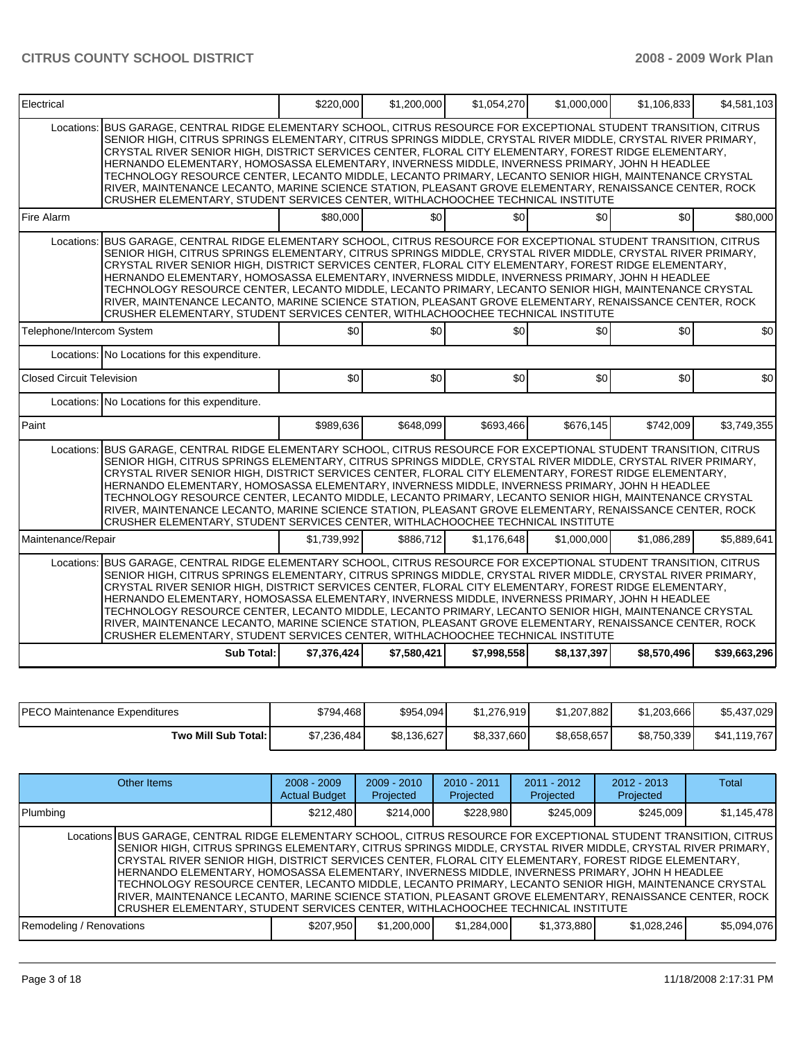| BUS GARAGE, CENTRAL RIDGE ELEMENTARY SCHOOL, CITRUS RESOURCE FOR EXCEPTIONAL STUDENT TRANSITION, CITRUS<br>Locations:<br>SENIOR HIGH, CITRUS SPRINGS ELEMENTARY, CITRUS SPRINGS MIDDLE, CRYSTAL RIVER MIDDLE, CRYSTAL RIVER PRIMARY,<br>CRYSTAL RIVER SENIOR HIGH, DISTRICT SERVICES CENTER, FLORAL CITY ELEMENTARY, FOREST RIDGE ELEMENTARY,<br>HERNANDO ELEMENTARY, HOMOSASSA ELEMENTARY, INVERNESS MIDDLE, INVERNESS PRIMARY, JOHN H HEADLEE<br>TECHNOLOGY RESOURCE CENTER, LECANTO MIDDLE, LECANTO PRIMARY, LECANTO SENIOR HIGH, MAINTENANCE CRYSTAL<br>RIVER, MAINTENANCE LECANTO, MARINE SCIENCE STATION, PLEASANT GROVE ELEMENTARY, RENAISSANCE CENTER, ROCK<br>CRUSHER ELEMENTARY, STUDENT SERVICES CENTER, WITHLACHOOCHEE TECHNICAL INSTITUTE<br>\$0<br>\$0<br>\$0<br>\$80,000<br>Fire Alarm<br>BUS GARAGE, CENTRAL RIDGE ELEMENTARY SCHOOL, CITRUS RESOURCE FOR EXCEPTIONAL STUDENT TRANSITION, CITRUS<br>Locations:<br>SENIOR HIGH, CITRUS SPRINGS ELEMENTARY, CITRUS SPRINGS MIDDLE, CRYSTAL RIVER MIDDLE, CRYSTAL RIVER PRIMARY,<br>CRYSTAL RIVER SENIOR HIGH, DISTRICT SERVICES CENTER, FLORAL CITY ELEMENTARY, FOREST RIDGE ELEMENTARY,<br>HERNANDO ELEMENTARY, HOMOSASSA ELEMENTARY, INVERNESS MIDDLE, INVERNESS PRIMARY, JOHN H HEADLEE<br>TECHNOLOGY RESOURCE CENTER, LECANTO MIDDLE, LECANTO PRIMARY, LECANTO SENIOR HIGH, MAINTENANCE CRYSTAL<br>RIVER, MAINTENANCE LECANTO, MARINE SCIENCE STATION, PLEASANT GROVE ELEMENTARY, RENAISSANCE CENTER, ROCK<br>CRUSHER ELEMENTARY, STUDENT SERVICES CENTER, WITHLACHOOCHEE TECHNICAL INSTITUTE<br>\$0<br>\$0<br>\$0<br>\$0<br>Telephone/Intercom System<br>Locations: No Locations for this expenditure.<br><b>Closed Circuit Television</b><br>\$0<br>\$0<br>\$0<br>\$0<br>Locations: No Locations for this expenditure.<br>\$989.636<br>\$648.099<br>\$693.466<br>Paint<br>\$676.145 | \$0<br>\$0  | \$80,000<br>\$0 |
|---------------------------------------------------------------------------------------------------------------------------------------------------------------------------------------------------------------------------------------------------------------------------------------------------------------------------------------------------------------------------------------------------------------------------------------------------------------------------------------------------------------------------------------------------------------------------------------------------------------------------------------------------------------------------------------------------------------------------------------------------------------------------------------------------------------------------------------------------------------------------------------------------------------------------------------------------------------------------------------------------------------------------------------------------------------------------------------------------------------------------------------------------------------------------------------------------------------------------------------------------------------------------------------------------------------------------------------------------------------------------------------------------------------------------------------------------------------------------------------------------------------------------------------------------------------------------------------------------------------------------------------------------------------------------------------------------------------------------------------------------------------------------------------------------------------------------------------------------------|-------------|-----------------|
|                                                                                                                                                                                                                                                                                                                                                                                                                                                                                                                                                                                                                                                                                                                                                                                                                                                                                                                                                                                                                                                                                                                                                                                                                                                                                                                                                                                                                                                                                                                                                                                                                                                                                                                                                                                                                                                         |             |                 |
|                                                                                                                                                                                                                                                                                                                                                                                                                                                                                                                                                                                                                                                                                                                                                                                                                                                                                                                                                                                                                                                                                                                                                                                                                                                                                                                                                                                                                                                                                                                                                                                                                                                                                                                                                                                                                                                         |             |                 |
|                                                                                                                                                                                                                                                                                                                                                                                                                                                                                                                                                                                                                                                                                                                                                                                                                                                                                                                                                                                                                                                                                                                                                                                                                                                                                                                                                                                                                                                                                                                                                                                                                                                                                                                                                                                                                                                         |             |                 |
|                                                                                                                                                                                                                                                                                                                                                                                                                                                                                                                                                                                                                                                                                                                                                                                                                                                                                                                                                                                                                                                                                                                                                                                                                                                                                                                                                                                                                                                                                                                                                                                                                                                                                                                                                                                                                                                         |             |                 |
|                                                                                                                                                                                                                                                                                                                                                                                                                                                                                                                                                                                                                                                                                                                                                                                                                                                                                                                                                                                                                                                                                                                                                                                                                                                                                                                                                                                                                                                                                                                                                                                                                                                                                                                                                                                                                                                         |             |                 |
|                                                                                                                                                                                                                                                                                                                                                                                                                                                                                                                                                                                                                                                                                                                                                                                                                                                                                                                                                                                                                                                                                                                                                                                                                                                                                                                                                                                                                                                                                                                                                                                                                                                                                                                                                                                                                                                         | \$0         | \$0             |
|                                                                                                                                                                                                                                                                                                                                                                                                                                                                                                                                                                                                                                                                                                                                                                                                                                                                                                                                                                                                                                                                                                                                                                                                                                                                                                                                                                                                                                                                                                                                                                                                                                                                                                                                                                                                                                                         |             |                 |
|                                                                                                                                                                                                                                                                                                                                                                                                                                                                                                                                                                                                                                                                                                                                                                                                                                                                                                                                                                                                                                                                                                                                                                                                                                                                                                                                                                                                                                                                                                                                                                                                                                                                                                                                                                                                                                                         | \$742.009   | \$3.749.355     |
| Locations: BUS GARAGE, CENTRAL RIDGE ELEMENTARY SCHOOL, CITRUS RESOURCE FOR EXCEPTIONAL STUDENT TRANSITION, CITRUS<br>SENIOR HIGH, CITRUS SPRINGS ELEMENTARY, CITRUS SPRINGS MIDDLE, CRYSTAL RIVER MIDDLE, CRYSTAL RIVER PRIMARY,<br>CRYSTAL RIVER SENIOR HIGH, DISTRICT SERVICES CENTER, FLORAL CITY ELEMENTARY, FOREST RIDGE ELEMENTARY,<br>HERNANDO ELEMENTARY, HOMOSASSA ELEMENTARY, INVERNESS MIDDLE, INVERNESS PRIMARY, JOHN H HEADLEE<br>TECHNOLOGY RESOURCE CENTER, LECANTO MIDDLE, LECANTO PRIMARY, LECANTO SENIOR HIGH, MAINTENANCE CRYSTAL<br>RIVER, MAINTENANCE LECANTO, MARINE SCIENCE STATION, PLEASANT GROVE ELEMENTARY, RENAISSANCE CENTER, ROCK<br>CRUSHER ELEMENTARY, STUDENT SERVICES CENTER, WITHLACHOOCHEE TECHNICAL INSTITUTE                                                                                                                                                                                                                                                                                                                                                                                                                                                                                                                                                                                                                                                                                                                                                                                                                                                                                                                                                                                                                                                                                                     |             |                 |
| \$886.712<br>Maintenance/Repair<br>\$1.739.992<br>\$1.176.648<br>\$1.000.000                                                                                                                                                                                                                                                                                                                                                                                                                                                                                                                                                                                                                                                                                                                                                                                                                                                                                                                                                                                                                                                                                                                                                                                                                                                                                                                                                                                                                                                                                                                                                                                                                                                                                                                                                                            | \$1.086.289 | \$5.889.641     |
| Locations: BUS GARAGE, CENTRAL RIDGE ELEMENTARY SCHOOL, CITRUS RESOURCE FOR EXCEPTIONAL STUDENT TRANSITION, CITRUS<br>SENIOR HIGH, CITRUS SPRINGS ELEMENTARY, CITRUS SPRINGS MIDDLE, CRYSTAL RIVER MIDDLE, CRYSTAL RIVER PRIMARY,<br>CRYSTAL RIVER SENIOR HIGH, DISTRICT SERVICES CENTER, FLORAL CITY ELEMENTARY, FOREST RIDGE ELEMENTARY,<br>HERNANDO ELEMENTARY, HOMOSASSA ELEMENTARY, INVERNESS MIDDLE, INVERNESS PRIMARY, JOHN H HEADLEE<br>TECHNOLOGY RESOURCE CENTER, LECANTO MIDDLE, LECANTO PRIMARY, LECANTO SENIOR HIGH, MAINTENANCE CRYSTAL<br>RIVER, MAINTENANCE LECANTO, MARINE SCIENCE STATION, PLEASANT GROVE ELEMENTARY, RENAISSANCE CENTER, ROCK<br>CRUSHER ELEMENTARY, STUDENT SERVICES CENTER, WITHLACHOOCHEE TECHNICAL INSTITUTE<br>Sub Total:<br>\$7,376,424<br>\$7,580,421<br>\$7,998,558<br>\$8,137,397<br>\$8,570,496                                                                                                                                                                                                                                                                                                                                                                                                                                                                                                                                                                                                                                                                                                                                                                                                                                                                                                                                                                                                            |             |                 |

| PECO Maintenance Expenditures | \$794.468   | \$954.094   | \$1.276.919 | \$1.207.882 | \$1.203.666 | \$5,437,029  |
|-------------------------------|-------------|-------------|-------------|-------------|-------------|--------------|
| <b>Two Mill Sub Total:</b>    | \$7,236,484 | \$8.136.627 | \$8,337,660 | \$8.658.657 | \$8,750,339 | \$41.119.767 |

| Other Items                                                                                                                                                                                                                                                                                                                                                                                                                                                                                                                                                                                                                                                                                                                                        | $2008 - 2009$<br><b>Actual Budget</b> | $2009 - 2010$<br>Projected | $2010 - 2011$<br>Projected | $2011 - 2012$<br>Projected | $2012 - 2013$<br>Projected | Total       |
|----------------------------------------------------------------------------------------------------------------------------------------------------------------------------------------------------------------------------------------------------------------------------------------------------------------------------------------------------------------------------------------------------------------------------------------------------------------------------------------------------------------------------------------------------------------------------------------------------------------------------------------------------------------------------------------------------------------------------------------------------|---------------------------------------|----------------------------|----------------------------|----------------------------|----------------------------|-------------|
| Plumbing                                                                                                                                                                                                                                                                                                                                                                                                                                                                                                                                                                                                                                                                                                                                           | \$212,480                             | \$214.000                  | \$228,980                  | \$245,009                  | \$245,009                  | \$1,145,478 |
| Locations BUS GARAGE, CENTRAL RIDGE ELEMENTARY SCHOOL, CITRUS RESOURCE FOR EXCEPTIONAL STUDENT TRANSITION, CITRUS<br>SENIOR HIGH, CITRUS SPRINGS ELEMENTARY, CITRUS SPRINGS MIDDLE, CRYSTAL RIVER MIDDLE, CRYSTAL RIVER PRIMARY,<br>CRYSTAL RIVER SENIOR HIGH, DISTRICT SERVICES CENTER, FLORAL CITY ELEMENTARY, FOREST RIDGE ELEMENTARY,<br>HERNANDO ELEMENTARY. HOMOSASSA ELEMENTARY. INVERNESS MIDDLE. INVERNESS PRIMARY. JOHN H HEADLEE<br>TECHNOLOGY RESOURCE CENTER, LECANTO MIDDLE, LECANTO PRIMARY, LECANTO SENIOR HIGH, MAINTENANCE CRYSTAL<br>RIVER, MAINTENANCE LECANTO, MARINE SCIENCE STATION, PLEASANT GROVE ELEMENTARY, RENAISSANCE CENTER, ROCK<br>CRUSHER ELEMENTARY, STUDENT SERVICES CENTER, WITHLACHOOCHEE TECHNICAL INSTITUTE |                                       |                            |                            |                            |                            |             |
| Remodeling / Renovations                                                                                                                                                                                                                                                                                                                                                                                                                                                                                                                                                                                                                                                                                                                           | \$1,200,000<br>\$1,284,000            | \$1,373,880                | \$1,028,246                | \$5,094,076                |                            |             |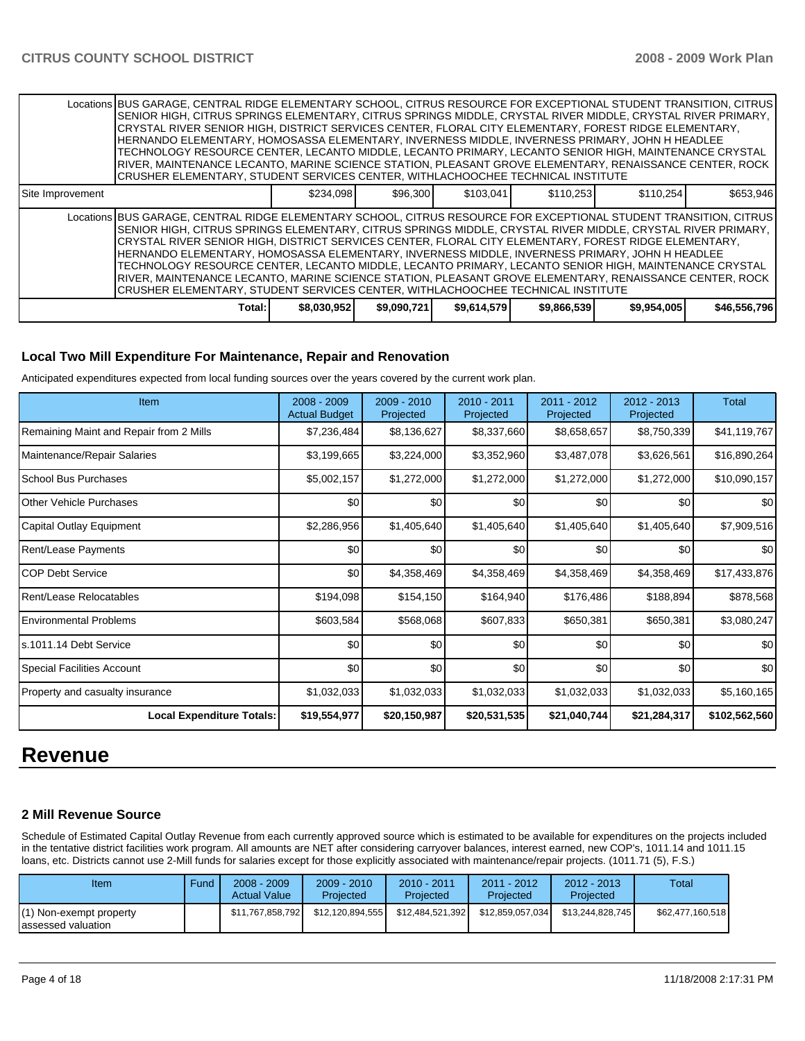|                  | Locations BUS GARAGE, CENTRAL RIDGE ELEMENTARY SCHOOL, CITRUS RESOURCE FOR EXCEPTIONAL STUDENT TRANSITION, CITRUS<br>SENIOR HIGH, CITRUS SPRINGS ELEMENTARY, CITRUS SPRINGS MIDDLE, CRYSTAL RIVER MIDDLE, CRYSTAL RIVER PRIMARY,<br>CRYSTAL RIVER SENIOR HIGH, DISTRICT SERVICES CENTER, FLORAL CITY ELEMENTARY, FOREST RIDGE ELEMENTARY,<br>HERNANDO ELEMENTARY. HOMOSASSA ELEMENTARY. INVERNESS MIDDLE. INVERNESS PRIMARY. JOHN H HEADLEE<br>TECHNOLOGY RESOURCE CENTER, LECANTO MIDDLE, LECANTO PRIMARY, LECANTO SENIOR HIGH, MAINTENANCE CRYSTAL<br>RIVER, MAINTENANCE LECANTO, MARINE SCIENCE STATION, PLEASANT GROVE ELEMENTARY, RENAISSANCE CENTER, ROCK<br>CRUSHER ELEMENTARY, STUDENT SERVICES CENTER, WITHLACHOOCHEE TECHNICAL INSTITUTE    |             |             |             |             |             |              |
|------------------|-------------------------------------------------------------------------------------------------------------------------------------------------------------------------------------------------------------------------------------------------------------------------------------------------------------------------------------------------------------------------------------------------------------------------------------------------------------------------------------------------------------------------------------------------------------------------------------------------------------------------------------------------------------------------------------------------------------------------------------------------------|-------------|-------------|-------------|-------------|-------------|--------------|
| Site Improvement |                                                                                                                                                                                                                                                                                                                                                                                                                                                                                                                                                                                                                                                                                                                                                       | \$234.098   | \$96,300    | \$103,041   | \$110,253   | \$110,254   | \$653,946    |
|                  | Locations BUS GARAGE, CENTRAL RIDGE ELEMENTARY SCHOOL, CITRUS RESOURCE FOR EXCEPTIONAL STUDENT TRANSITION, CITRUS<br>SENIOR HIGH, CITRUS SPRINGS ELEMENTARY, CITRUS SPRINGS MIDDLE, CRYSTAL RIVER MIDDLE, CRYSTAL RIVER PRIMARY,<br>CRYSTAL RIVER SENIOR HIGH, DISTRICT SERVICES CENTER, FLORAL CITY ELEMENTARY, FOREST RIDGE ELEMENTARY,<br>HERNANDO ELEMENTARY, HOMOSASSA ELEMENTARY, INVERNESS MIDDLE, INVERNESS PRIMARY, JOHN H HEADLEE<br>TECHNOLOGY RESOURCE CENTER, LECANTO MIDDLE, LECANTO PRIMARY, LECANTO SENIOR HIGH, MAINTENANCE CRYSTAL<br>RIVER, MAINTENANCE LECANTO, MARINE SCIENCE STATION, PLEASANT GROVE ELEMENTARY, RENAISSANCE CENTER, ROCK  <br> CRUSHER ELEMENTARY, STUDENT SERVICES CENTER, WITHLACHOOCHEE TECHNICAL INSTITUTE |             |             |             |             |             |              |
|                  | Total:                                                                                                                                                                                                                                                                                                                                                                                                                                                                                                                                                                                                                                                                                                                                                | \$8,030,952 | \$9,090,721 | \$9,614,579 | \$9,866,539 | \$9,954,005 | \$46,556,796 |

#### **Local Two Mill Expenditure For Maintenance, Repair and Renovation**

Anticipated expenditures expected from local funding sources over the years covered by the current work plan.

| Item                                    | 2008 - 2009<br><b>Actual Budget</b> | 2009 - 2010<br>Projected | 2010 - 2011<br>Projected | 2011 - 2012<br>Projected | $2012 - 2013$<br>Projected | <b>Total</b>  |
|-----------------------------------------|-------------------------------------|--------------------------|--------------------------|--------------------------|----------------------------|---------------|
| Remaining Maint and Repair from 2 Mills | \$7,236,484                         | \$8,136,627              | \$8,337,660              | \$8,658,657              | \$8,750,339                | \$41,119,767  |
| Maintenance/Repair Salaries             | \$3,199,665                         | \$3,224,000              | \$3,352,960              | \$3,487,078              | \$3,626,561                | \$16,890,264  |
| <b>School Bus Purchases</b>             | \$5,002,157                         | \$1,272,000              | \$1,272,000              | \$1,272,000              | \$1,272,000                | \$10,090,157  |
| Other Vehicle Purchases                 | \$0                                 | \$0                      | \$0                      | \$0                      | \$0                        | \$0           |
| Capital Outlay Equipment                | \$2,286,956                         | \$1,405,640              | \$1,405,640              | \$1,405,640              | \$1,405,640                | \$7,909,516   |
| <b>Rent/Lease Payments</b>              | \$0                                 | \$0                      | \$0                      | \$0                      | \$0                        | \$0           |
| <b>COP Debt Service</b>                 | \$0                                 | \$4,358,469              | \$4,358,469              | \$4,358,469              | \$4,358,469                | \$17,433,876  |
| Rent/Lease Relocatables                 | \$194,098                           | \$154,150                | \$164,940                | \$176,486                | \$188,894                  | \$878,568     |
| <b>Environmental Problems</b>           | \$603,584                           | \$568,068                | \$607,833                | \$650,381                | \$650,381                  | \$3,080,247   |
| ls.1011.14 Debt Service                 | \$0                                 | \$0                      | \$0                      | \$0                      | \$0                        | \$0           |
| Special Facilities Account              | \$0                                 | \$0                      | \$0                      | \$0                      | \$0                        | \$0           |
| Property and casualty insurance         | \$1,032,033                         | \$1,032,033              | \$1,032,033              | \$1,032,033              | \$1,032,033                | \$5,160,165   |
| <b>Local Expenditure Totals:</b>        | \$19,554,977                        | \$20,150,987             | \$20,531,535             | \$21,040,744             | \$21,284,317               | \$102,562,560 |

# **Revenue**

#### **2 Mill Revenue Source**

Schedule of Estimated Capital Outlay Revenue from each currently approved source which is estimated to be available for expenditures on the projects included in the tentative district facilities work program. All amounts are NET after considering carryover balances, interest earned, new COP's, 1011.14 and 1011.15 loans, etc. Districts cannot use 2-Mill funds for salaries except for those explicitly associated with maintenance/repair projects. (1011.71 (5), F.S.)

| Item                                            | Fund | $2008 - 2009$<br><b>Actual Value</b> | $2009 - 2010$<br>Projected | $2010 - 2011$<br>Projected | 2011 - 2012<br>Projected | $2012 - 2013$<br>Projected | Total            |
|-------------------------------------------------|------|--------------------------------------|----------------------------|----------------------------|--------------------------|----------------------------|------------------|
| (1) Non-exempt property<br>lassessed valuation_ |      | \$11.767.858.792                     | \$12.120.894.555           | \$12,484,521,392           | \$12.859.057.034         | \$13,244,828,745           | \$62,477,160,518 |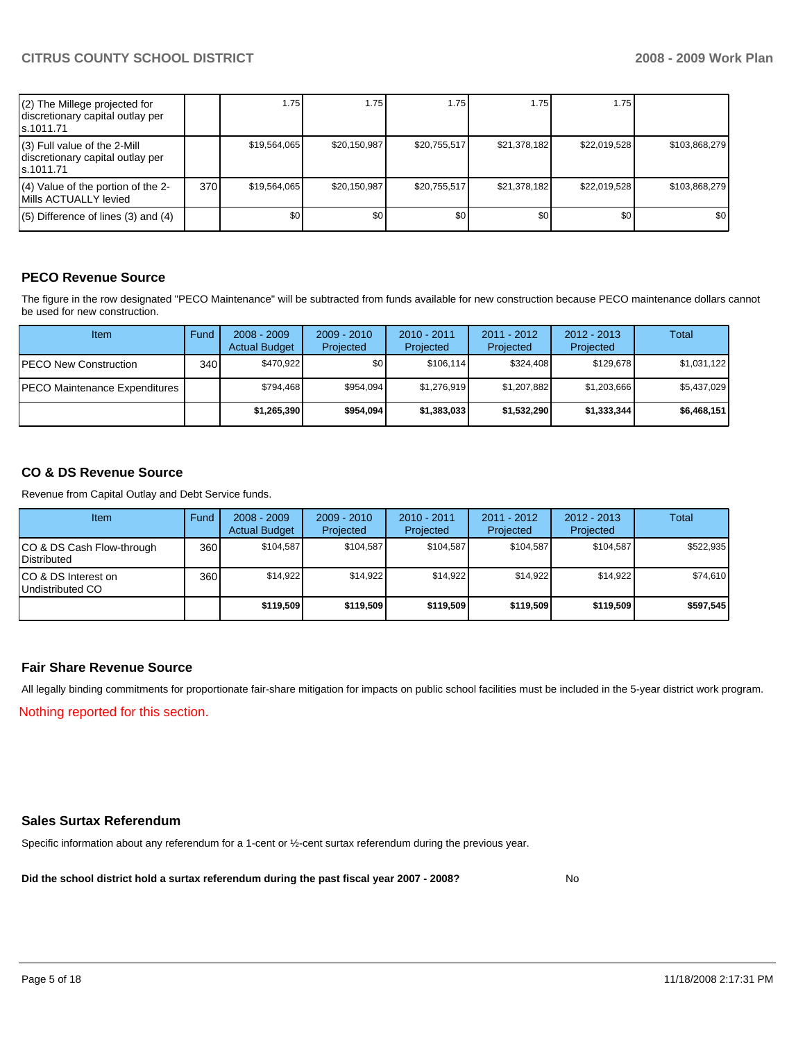| (2) The Millege projected for<br>discretionary capital outlay per<br>s.1011.71 |       | 1.75         | 1.75         | 1.75         | 1.75         | 1.75         |               |
|--------------------------------------------------------------------------------|-------|--------------|--------------|--------------|--------------|--------------|---------------|
| (3) Full value of the 2-Mill<br>discretionary capital outlay per<br>ls.1011.71 |       | \$19,564,065 | \$20,150,987 | \$20,755,517 | \$21,378,182 | \$22,019,528 | \$103,868,279 |
| $(4)$ Value of the portion of the 2-<br>Mills ACTUALLY levied                  | 370 l | \$19,564,065 | \$20,150,987 | \$20,755,517 | \$21,378,182 | \$22,019,528 | \$103,868,279 |
| $(5)$ Difference of lines (3) and (4)                                          |       | \$0          | \$0          | \$0          | \$0          | \$0          | \$0           |

### **PECO Revenue Source**

The figure in the row designated "PECO Maintenance" will be subtracted from funds available for new construction because PECO maintenance dollars cannot be used for new construction.

| <b>Item</b>                           | Fund | $2008 - 2009$<br><b>Actual Budget</b> | $2009 - 2010$<br>Projected | $2010 - 2011$<br><b>Projected</b> | 2011 - 2012<br>Projected | $2012 - 2013$<br>Projected | Total       |
|---------------------------------------|------|---------------------------------------|----------------------------|-----------------------------------|--------------------------|----------------------------|-------------|
| IPECO New Construction                | 340  | \$470.922                             | \$0                        | \$106.114                         | \$324.408                | \$129.678                  | \$1,031,122 |
| <b>IPECO Maintenance Expenditures</b> |      | \$794.468                             | \$954.094                  | \$1.276.919                       | \$1,207,882              | \$1,203,666                | \$5,437,029 |
|                                       |      | \$1,265,390                           | \$954,094                  | \$1,383,033                       | \$1,532,290              | \$1,333,344                | \$6,468,151 |

#### **CO & DS Revenue Source**

Revenue from Capital Outlay and Debt Service funds.

| Item                                     | Fund | $2008 - 2009$<br><b>Actual Budget</b> | $2009 - 2010$<br>Projected | 2010 - 2011<br>Projected | 2011 - 2012<br>Projected | $2012 - 2013$<br>Projected | Total     |
|------------------------------------------|------|---------------------------------------|----------------------------|--------------------------|--------------------------|----------------------------|-----------|
| CO & DS Cash Flow-through<br>Distributed | 360  | \$104.587                             | \$104.587                  | \$104.587                | \$104.587                | \$104,587                  | \$522,935 |
| CO & DS Interest on<br>Undistributed CO  | 360  | \$14,922                              | \$14.922                   | \$14,922                 | \$14,922                 | \$14,922                   | \$74.610  |
|                                          |      | \$119,509                             | \$119,509                  | \$119,509                | \$119,509                | \$119,509                  | \$597,545 |

#### **Fair Share Revenue Source**

All legally binding commitments for proportionate fair-share mitigation for impacts on public school facilities must be included in the 5-year district work program. Nothing reported for this section.

#### **Sales Surtax Referendum**

Specific information about any referendum for a 1-cent or ½-cent surtax referendum during the previous year.

**Did the school district hold a surtax referendum during the past fiscal year 2007 - 2008?** No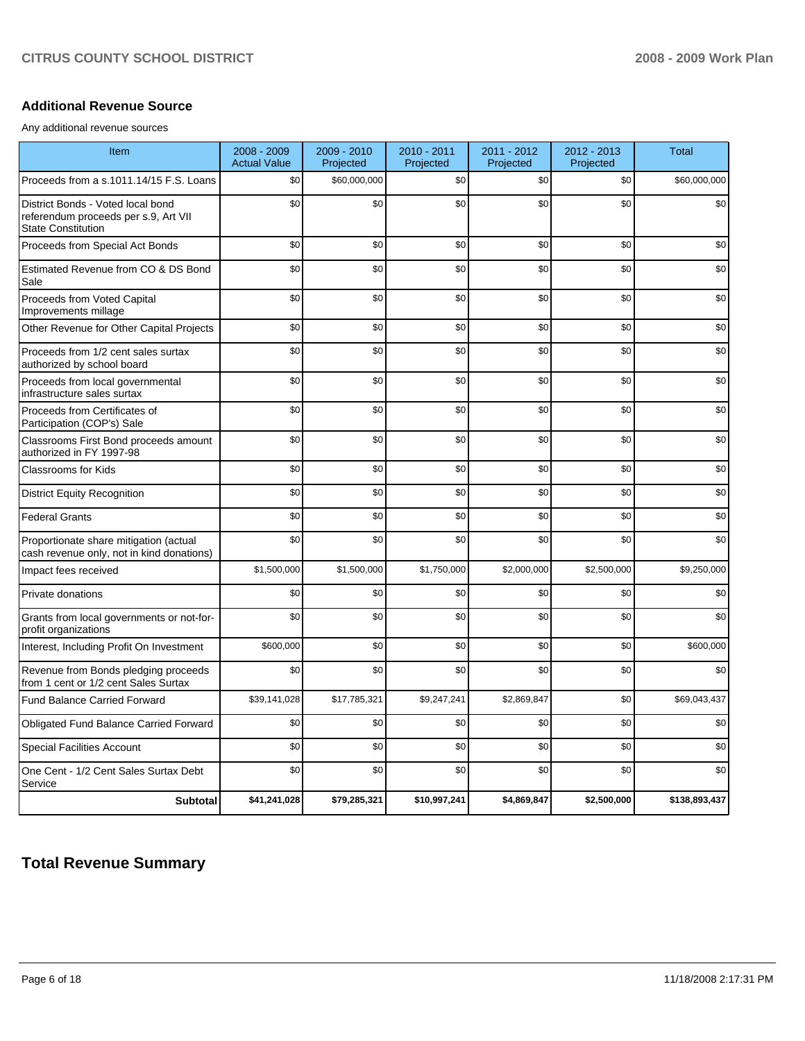#### **Additional Revenue Source**

Any additional revenue sources

| Item                                                                                                   | $2008 - 2009$<br><b>Actual Value</b> | 2009 - 2010<br>Projected | 2010 - 2011<br>Projected | 2011 - 2012<br>Projected | 2012 - 2013<br>Projected | <b>Total</b>  |
|--------------------------------------------------------------------------------------------------------|--------------------------------------|--------------------------|--------------------------|--------------------------|--------------------------|---------------|
| Proceeds from a s.1011.14/15 F.S. Loans                                                                | \$0                                  | \$60,000,000             | \$0                      | \$0                      | \$0                      | \$60,000,000  |
| District Bonds - Voted local bond<br>referendum proceeds per s.9, Art VII<br><b>State Constitution</b> | \$0                                  | \$0                      | \$0                      | \$0                      | \$0                      | \$0           |
| Proceeds from Special Act Bonds                                                                        | \$0                                  | \$0                      | \$0                      | \$0                      | \$0                      | \$0           |
| Estimated Revenue from CO & DS Bond<br>Sale                                                            | \$0                                  | \$0                      | \$0                      | \$0                      | \$0                      | \$0           |
| Proceeds from Voted Capital<br>Improvements millage                                                    | \$0                                  | \$0                      | \$0                      | \$0                      | \$0                      | \$0           |
| Other Revenue for Other Capital Projects                                                               | \$0                                  | \$0                      | \$0                      | \$0                      | \$0                      | \$0           |
| Proceeds from 1/2 cent sales surtax<br>authorized by school board                                      | \$0                                  | \$0                      | \$0                      | \$0                      | \$0                      | \$0           |
| Proceeds from local governmental<br>infrastructure sales surtax                                        | \$0                                  | \$0                      | \$0                      | \$0                      | \$0                      | \$0           |
| Proceeds from Certificates of<br>Participation (COP's) Sale                                            | \$0                                  | \$0                      | \$0                      | \$0                      | \$0                      | \$0           |
| Classrooms First Bond proceeds amount<br>authorized in FY 1997-98                                      | \$0                                  | \$0                      | \$0                      | \$0                      | \$0                      | \$0           |
| <b>Classrooms for Kids</b>                                                                             | \$0                                  | \$0                      | \$0                      | \$0                      | \$0                      | \$0           |
| <b>District Equity Recognition</b>                                                                     | \$0                                  | \$0                      | \$0                      | \$0                      | \$0                      | \$0           |
| <b>Federal Grants</b>                                                                                  | \$0                                  | \$0                      | \$0                      | \$0                      | \$0                      | \$0           |
| Proportionate share mitigation (actual<br>cash revenue only, not in kind donations)                    | \$0                                  | \$0                      | \$0                      | \$0                      | \$0                      | \$0           |
| Impact fees received                                                                                   | \$1,500,000                          | \$1,500,000              | \$1,750,000              | \$2,000,000              | \$2,500,000              | \$9,250,000   |
| Private donations                                                                                      | \$0                                  | \$0                      | \$0                      | \$0                      | \$0                      | \$0           |
| Grants from local governments or not-for-<br>profit organizations                                      | \$0                                  | \$0                      | \$0                      | \$0                      | \$0                      | \$0           |
| Interest, Including Profit On Investment                                                               | \$600,000                            | \$0                      | \$0                      | \$0                      | \$0                      | \$600,000     |
| Revenue from Bonds pledging proceeds<br>from 1 cent or 1/2 cent Sales Surtax                           | \$0                                  | \$0                      | \$0                      | \$0                      | \$0                      | \$0           |
| Fund Balance Carried Forward                                                                           | \$39,141,028                         | \$17,785,321             | \$9,247,241              | \$2,869,847              | \$0                      | \$69,043,437  |
| Obligated Fund Balance Carried Forward                                                                 | \$0                                  | \$0                      | \$0                      | \$0                      | \$0                      | \$0           |
| <b>Special Facilities Account</b>                                                                      | \$0                                  | \$0                      | \$0                      | \$0                      | \$0                      | \$0           |
| One Cent - 1/2 Cent Sales Surtax Debt<br>Service                                                       | \$0                                  | \$0                      | \$0                      | \$0                      | \$0                      | \$0           |
| <b>Subtotal</b>                                                                                        | \$41,241,028                         | \$79,285,321             | \$10,997,241             | \$4,869,847              | \$2,500,000              | \$138,893,437 |

## **Total Revenue Summary**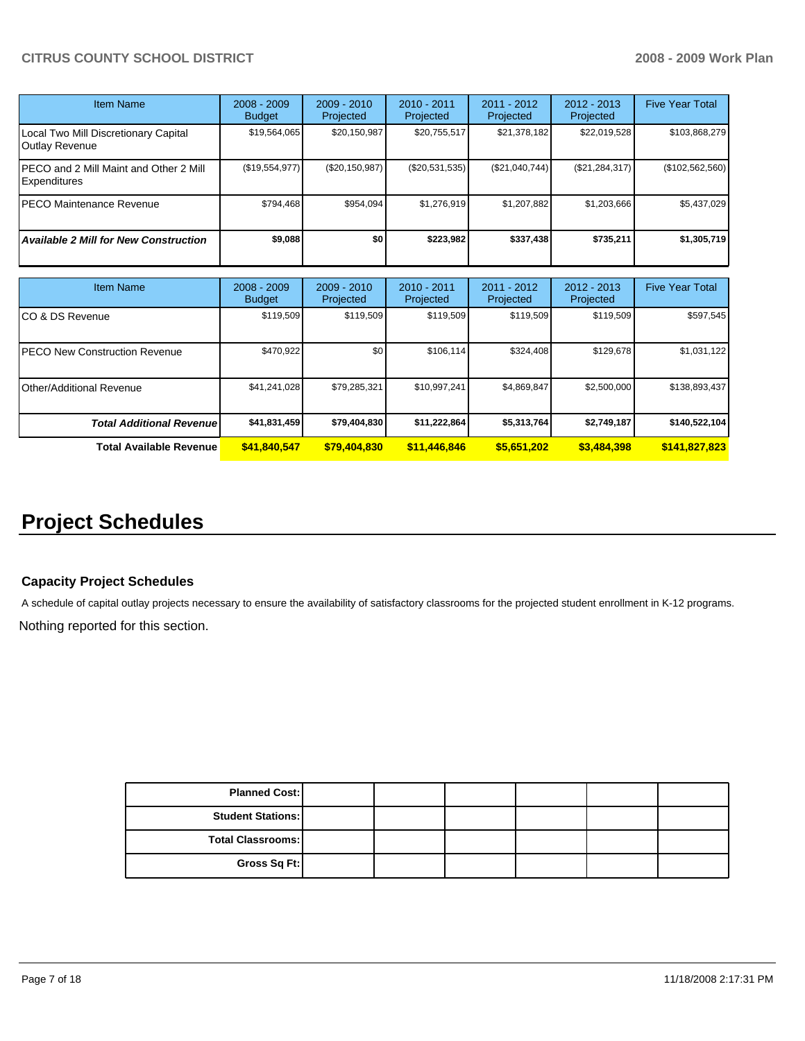| Item Name                                              | $2008 - 2009$<br><b>Budget</b> | $2009 - 2010$<br>Projected | $2010 - 2011$<br>Projected | $2011 - 2012$<br>Projected | $2012 - 2013$<br>Projected | <b>Five Year Total</b> |
|--------------------------------------------------------|--------------------------------|----------------------------|----------------------------|----------------------------|----------------------------|------------------------|
| Local Two Mill Discretionary Capital<br>Outlay Revenue | \$19,564,065                   | \$20,150,987               | \$20,755,517               | \$21,378,182               | \$22,019,528               | \$103,868,279          |
| PECO and 2 Mill Maint and Other 2 Mill<br>Expenditures | (\$19,554,977)                 | (S20, 150, 987)            | $(\$20,531,535)$           | (S21,040,744)              | (\$21, 284, 317)           | (\$102,562,560)        |
| PECO Maintenance Revenue                               | \$794.468                      | \$954.094                  | \$1.276.919                | \$1.207.882                | \$1,203,666                | \$5,437,029            |
| <b>Available 2 Mill for New Construction</b>           | \$9,088                        | \$0                        | \$223,982                  | \$337.438                  | \$735.211                  | \$1,305,719            |

| <b>Item Name</b>                 | $2008 - 2009$<br><b>Budget</b> | $2009 - 2010$<br>Projected | $2010 - 2011$<br>Projected | 2011 - 2012<br>Projected | $2012 - 2013$<br>Projected | <b>Five Year Total</b> |
|----------------------------------|--------------------------------|----------------------------|----------------------------|--------------------------|----------------------------|------------------------|
| ICO & DS Revenue                 | \$119,509                      | \$119,509                  | \$119,509                  | \$119,509                | \$119,509                  | \$597,545              |
| IPECO New Construction Revenue   | \$470.922                      | \$0                        | \$106.114                  | \$324,408                | \$129.678                  | \$1,031,122            |
| IOther/Additional Revenue        | \$41,241,028                   | \$79,285,321               | \$10,997,241               | \$4,869,847              | \$2,500,000                | \$138,893,437          |
| <b>Total Additional Revenuel</b> | \$41,831,459                   | \$79,404,830               | \$11,222,864               | \$5,313,764              | \$2,749,187                | \$140,522,104          |
| <b>Total Available Revenue</b>   | \$41,840,547                   | \$79,404,830               | \$11,446,846               | \$5,651,202              | \$3,484,398                | \$141,827,823          |

# **Project Schedules**

#### **Capacity Project Schedules**

A schedule of capital outlay projects necessary to ensure the availability of satisfactory classrooms for the projected student enrollment in K-12 programs. Nothing reported for this section.

| <b>Planned Cost:</b>     |  |  |  |
|--------------------------|--|--|--|
| <b>Student Stations:</b> |  |  |  |
| <b>Total Classrooms:</b> |  |  |  |
| Gross Sq Ft:             |  |  |  |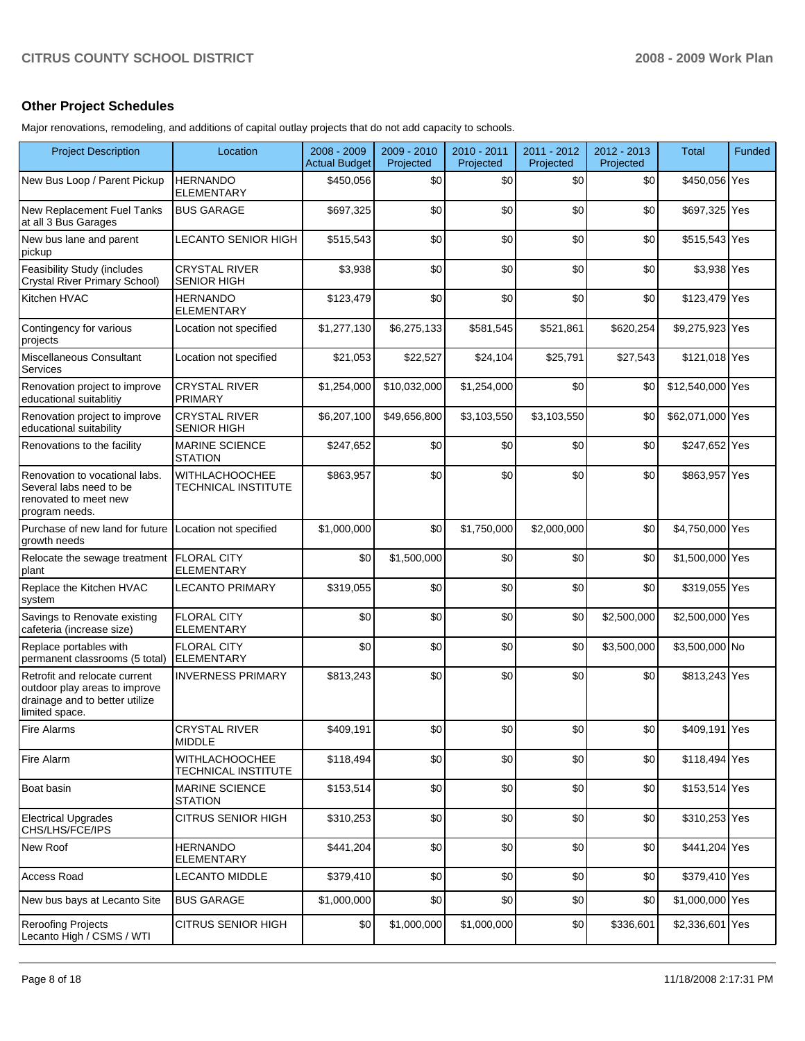### **Other Project Schedules**

Major renovations, remodeling, and additions of capital outlay projects that do not add capacity to schools.

| <b>Project Description</b>                                                                                         | Location                                     | 2008 - 2009<br><b>Actual Budget</b> | 2009 - 2010<br>Projected | 2010 - 2011<br>Projected | 2011 - 2012<br>Projected | 2012 - 2013<br>Projected | <b>Total</b>     | Funded |
|--------------------------------------------------------------------------------------------------------------------|----------------------------------------------|-------------------------------------|--------------------------|--------------------------|--------------------------|--------------------------|------------------|--------|
| New Bus Loop / Parent Pickup                                                                                       | HERNANDO<br><b>ELEMENTARY</b>                | \$450,056                           | \$0                      | \$0                      | \$0                      | \$0                      | \$450,056 Yes    |        |
| New Replacement Fuel Tanks<br>at all 3 Bus Garages                                                                 | <b>BUS GARAGE</b>                            | \$697,325                           | \$0                      | \$0                      | \$0                      | \$0                      | \$697,325 Yes    |        |
| New bus lane and parent<br>pickup                                                                                  | LECANTO SENIOR HIGH                          | \$515,543                           | \$0                      | \$0                      | \$0                      | \$0                      | \$515,543 Yes    |        |
| Feasibility Study (includes<br>Crystal River Primary School)                                                       | <b>CRYSTAL RIVER</b><br><b>SENIOR HIGH</b>   | \$3,938                             | \$0                      | \$0                      | \$0                      | \$0                      | \$3,938 Yes      |        |
| Kitchen HVAC                                                                                                       | <b>HERNANDO</b><br><b>ELEMENTARY</b>         | \$123,479                           | \$0                      | \$0                      | \$0                      | \$0                      | \$123,479 Yes    |        |
| Contingency for various<br>projects                                                                                | Location not specified                       | \$1,277,130                         | \$6,275,133              | \$581,545                | \$521,861                | \$620,254                | \$9,275,923 Yes  |        |
| Miscellaneous Consultant<br>Services                                                                               | Location not specified                       | \$21,053                            | \$22,527                 | \$24,104                 | \$25,791                 | \$27,543                 | \$121,018 Yes    |        |
| Renovation project to improve<br>educational suitablitiy                                                           | <b>CRYSTAL RIVER</b><br><b>PRIMARY</b>       | \$1,254,000                         | \$10,032,000             | \$1,254,000              | \$0                      | \$0                      | \$12,540,000 Yes |        |
| Renovation project to improve<br>educational suitability                                                           | <b>CRYSTAL RIVER</b><br><b>SENIOR HIGH</b>   | \$6,207,100                         | \$49,656,800             | \$3,103,550              | \$3,103,550              | \$0                      | \$62,071,000 Yes |        |
| Renovations to the facility                                                                                        | <b>MARINE SCIENCE</b><br><b>STATION</b>      | \$247,652                           | \$0                      | \$0                      | \$0                      | \$0                      | \$247,652 Yes    |        |
| Renovation to vocational labs.<br>Several labs need to be<br>renovated to meet new<br>program needs.               | <b>WITHLACHOOCHEE</b><br>TECHNICAL INSTITUTE | \$863,957                           | \$0                      | \$0                      | \$0                      | \$0                      | \$863,957 Yes    |        |
| Purchase of new land for future<br>growth needs                                                                    | Location not specified                       | \$1,000,000                         | \$0                      | \$1,750,000              | \$2,000,000              | \$0                      | \$4,750,000 Yes  |        |
| Relocate the sewage treatment<br>plant                                                                             | <b>FLORAL CITY</b><br><b>ELEMENTARY</b>      | \$0                                 | \$1,500,000              | \$0                      | \$0                      | \$0                      | \$1,500,000 Yes  |        |
| Replace the Kitchen HVAC<br>system                                                                                 | LECANTO PRIMARY                              | \$319,055                           | \$0                      | \$0                      | \$0                      | \$0                      | \$319,055 Yes    |        |
| Savings to Renovate existing<br>cafeteria (increase size)                                                          | <b>FLORAL CITY</b><br><b>ELEMENTARY</b>      | \$0                                 | \$0                      | \$0                      | \$0                      | \$2,500,000              | \$2,500,000 Yes  |        |
| Replace portables with<br>permanent classrooms (5 total)                                                           | <b>FLORAL CITY</b><br><b>ELEMENTARY</b>      | \$0                                 | \$0                      | \$0                      | \$0                      | \$3,500,000              | \$3,500,000 No   |        |
| Retrofit and relocate current<br>outdoor play areas to improve<br>drainage and to better utilize<br>limited space. | <b>INVERNESS PRIMARY</b>                     | \$813,243                           | \$0                      | \$0                      | \$0                      | \$0                      | \$813,243 Yes    |        |
| Fire Alarms                                                                                                        | CRYSTAL RIVER<br><b>MIDDLE</b>               | \$409,191                           | \$0                      | \$0                      | \$0                      | $$0$$                    | \$409,191 Yes    |        |
| Fire Alarm                                                                                                         | <b>WITHLACHOOCHEE</b><br>TECHNICAL INSTITUTE | \$118,494                           | \$0                      | \$0                      | \$0                      | \$0                      | \$118,494 Yes    |        |
| Boat basin                                                                                                         | <b>MARINE SCIENCE</b><br><b>STATION</b>      | \$153,514                           | \$0                      | \$0                      | \$0                      | \$0                      | \$153,514 Yes    |        |
| Electrical Upgrades<br>CHS/LHS/FCE/IPS                                                                             | <b>CITRUS SENIOR HIGH</b>                    | \$310,253                           | \$0                      | \$0                      | \$0                      | \$0                      | \$310,253 Yes    |        |
| New Roof                                                                                                           | <b>HERNANDO</b><br><b>ELEMENTARY</b>         | \$441,204                           | \$0                      | \$0                      | \$0                      | \$0                      | \$441,204 Yes    |        |
| <b>Access Road</b>                                                                                                 | <b>LECANTO MIDDLE</b>                        | \$379,410                           | \$0                      | \$0                      | \$0                      | \$0                      | \$379,410 Yes    |        |
| New bus bays at Lecanto Site                                                                                       | <b>BUS GARAGE</b>                            | \$1,000,000                         | \$0                      | \$0                      | \$0                      | \$0                      | \$1,000,000 Yes  |        |
| <b>Reroofing Projects</b><br>Lecanto High / CSMS / WTI                                                             | CITRUS SENIOR HIGH                           | \$0                                 | \$1,000,000              | \$1,000,000              | \$0                      | \$336,601                | \$2,336,601 Yes  |        |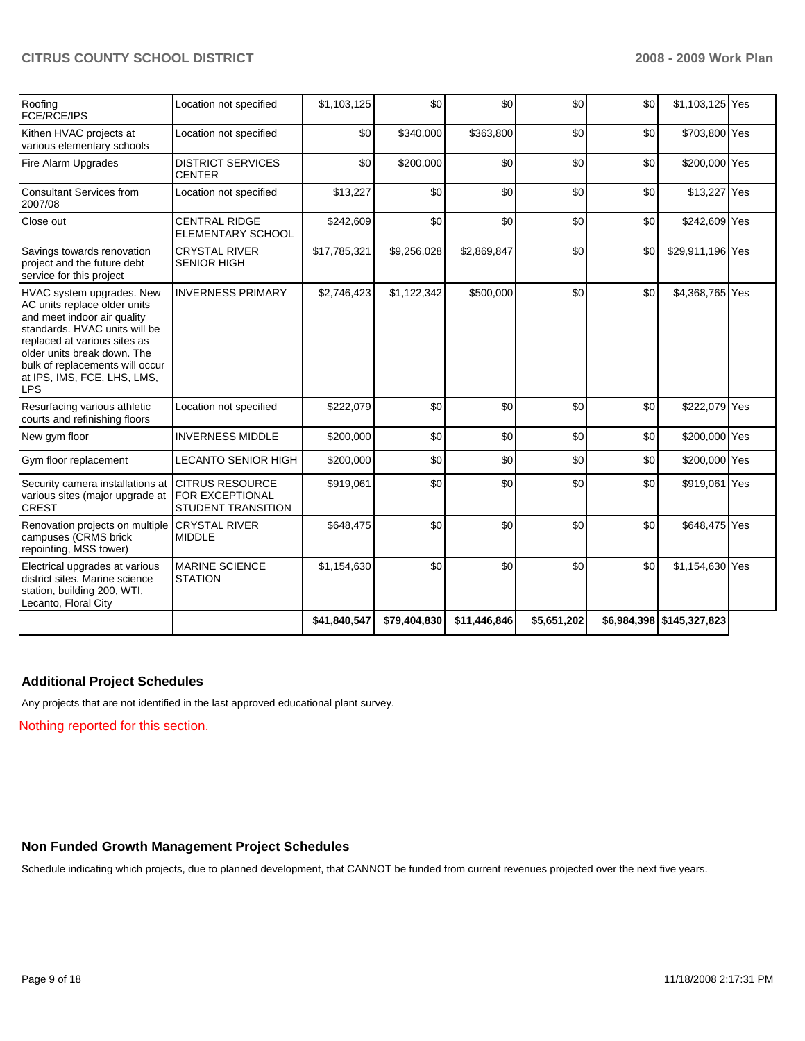| Roofing<br><b>FCE/RCE/IPS</b>                                                                                                                                                                                                                                            | Location not specified                                                        | \$1,103,125  | \$0          | \$0          | \$0         | \$0 | \$1,103,125 Yes           |  |
|--------------------------------------------------------------------------------------------------------------------------------------------------------------------------------------------------------------------------------------------------------------------------|-------------------------------------------------------------------------------|--------------|--------------|--------------|-------------|-----|---------------------------|--|
| Kithen HVAC projects at<br>various elementary schools                                                                                                                                                                                                                    | Location not specified                                                        | \$0          | \$340,000    | \$363,800    | \$0         | \$0 | \$703,800 Yes             |  |
| Fire Alarm Upgrades                                                                                                                                                                                                                                                      | <b>DISTRICT SERVICES</b><br><b>CENTER</b>                                     | \$0          | \$200,000    | \$0          | \$0         | \$0 | \$200,000 Yes             |  |
| <b>Consultant Services from</b><br>2007/08                                                                                                                                                                                                                               | Location not specified                                                        | \$13,227     | \$0          | \$0          | \$0         | \$0 | \$13,227 Yes              |  |
| Close out                                                                                                                                                                                                                                                                | <b>CENTRAL RIDGE</b><br><b>ELEMENTARY SCHOOL</b>                              | \$242,609    | \$0          | \$0          | \$0         | \$0 | \$242,609 Yes             |  |
| Savings towards renovation<br>project and the future debt<br>service for this project                                                                                                                                                                                    | <b>CRYSTAL RIVER</b><br><b>SENIOR HIGH</b>                                    | \$17,785,321 | \$9,256,028  | \$2,869,847  | \$0         | \$0 | \$29,911,196 Yes          |  |
| HVAC system upgrades. New<br>AC units replace older units<br>and meet indoor air quality<br>standards. HVAC units will be<br>replaced at various sites as<br>older units break down. The<br>bulk of replacements will occur<br>at IPS, IMS, FCE, LHS, LMS,<br><b>LPS</b> | <b>INVERNESS PRIMARY</b>                                                      | \$2,746,423  | \$1,122,342  | \$500,000    | \$0         | \$0 | \$4,368,765 Yes           |  |
| Resurfacing various athletic<br>courts and refinishing floors                                                                                                                                                                                                            | Location not specified                                                        | \$222,079    | \$0          | \$0          | \$0         | \$0 | \$222,079 Yes             |  |
| New gym floor                                                                                                                                                                                                                                                            | <b>INVERNESS MIDDLE</b>                                                       | \$200,000    | \$0          | \$0          | \$0         | \$0 | \$200,000 Yes             |  |
| Gym floor replacement                                                                                                                                                                                                                                                    | LECANTO SENIOR HIGH                                                           | \$200,000    | \$0          | \$0          | \$0         | \$0 | \$200,000 Yes             |  |
| Security camera installations at<br>various sites (major upgrade at<br><b>CREST</b>                                                                                                                                                                                      | <b>CITRUS RESOURCE</b><br><b>FOR EXCEPTIONAL</b><br><b>STUDENT TRANSITION</b> | \$919,061    | \$0          | \$0          | \$0         | \$0 | \$919,061 Yes             |  |
| Renovation projects on multiple<br>campuses (CRMS brick<br>repointing, MSS tower)                                                                                                                                                                                        | <b>CRYSTAL RIVER</b><br><b>MIDDLE</b>                                         | \$648,475    | \$0          | \$0          | \$0         | \$0 | \$648,475 Yes             |  |
| Electrical upgrades at various<br>district sites. Marine science<br>station, building 200, WTI,<br>Lecanto, Floral City                                                                                                                                                  | <b>MARINE SCIENCE</b><br><b>STATION</b>                                       | \$1,154,630  | \$0          | \$0          | \$0         | \$0 | \$1,154,630 Yes           |  |
|                                                                                                                                                                                                                                                                          |                                                                               | \$41,840,547 | \$79,404,830 | \$11,446,846 | \$5,651,202 |     | \$6,984,398 \$145,327,823 |  |

### **Additional Project Schedules**

Any projects that are not identified in the last approved educational plant survey.

Nothing reported for this section.

## **Non Funded Growth Management Project Schedules**

Schedule indicating which projects, due to planned development, that CANNOT be funded from current revenues projected over the next five years.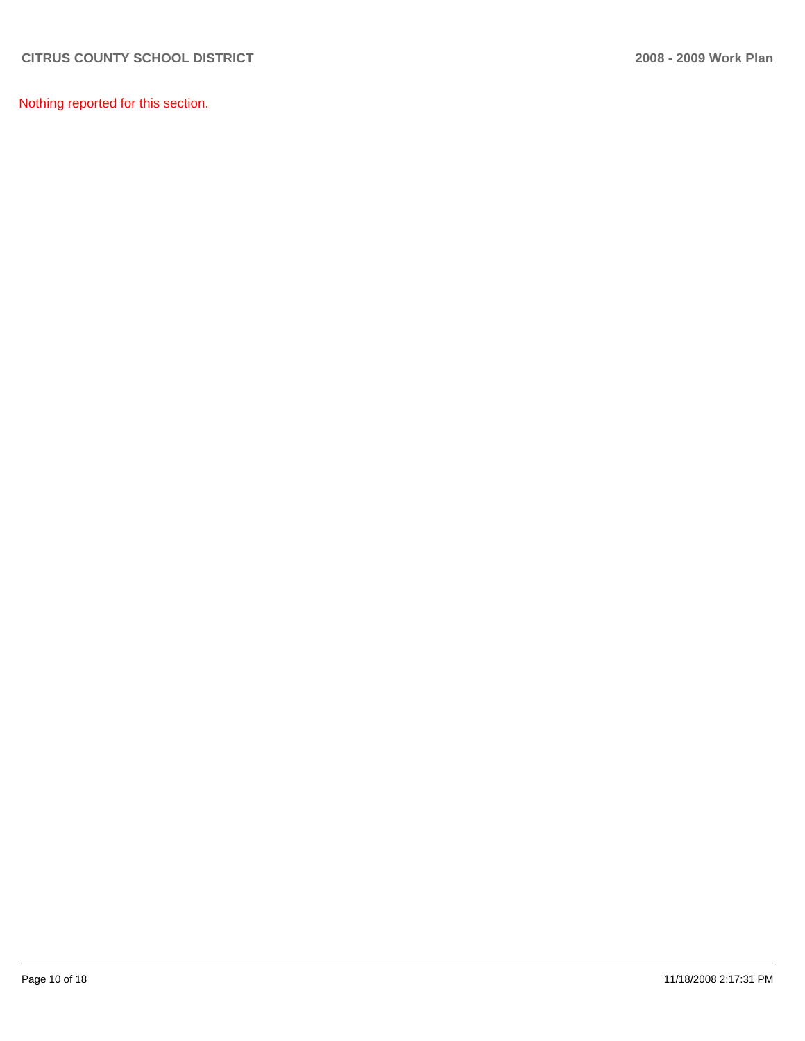Nothing reported for this section.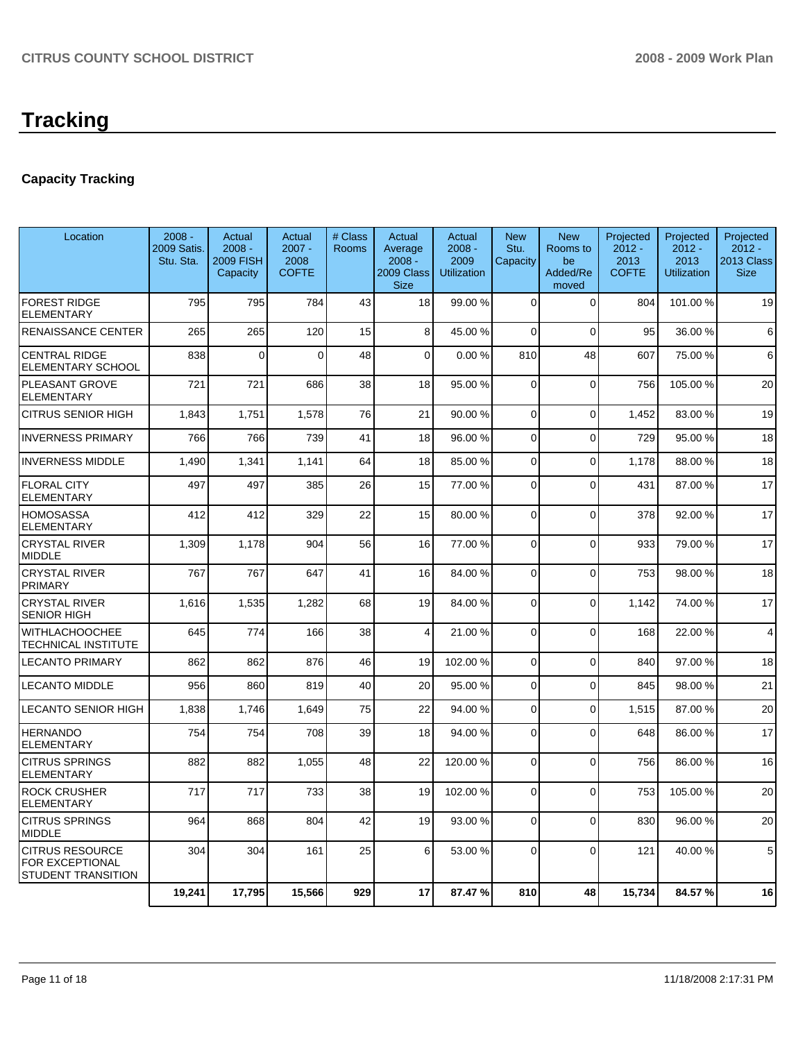## **Capacity Tracking**

| Location                                                               | $2008 -$<br>2009 Satis.<br>Stu. Sta. | Actual<br>$2008 -$<br><b>2009 FISH</b><br>Capacity | Actual<br>$2007 -$<br>2008<br><b>COFTE</b> | # Class<br><b>Rooms</b> | Actual<br>Average<br>$2008 -$<br>2009 Class<br><b>Size</b> | Actual<br>$2008 -$<br>2009<br><b>Utilization</b> | <b>New</b><br>Stu.<br>Capacity | <b>New</b><br>Rooms to<br>be<br>Added/Re<br>moved | Projected<br>$2012 -$<br>2013<br><b>COFTE</b> | Projected<br>$2012 -$<br>2013<br><b>Utilization</b> | Projected<br>$2012 -$<br>2013 Class<br><b>Size</b> |
|------------------------------------------------------------------------|--------------------------------------|----------------------------------------------------|--------------------------------------------|-------------------------|------------------------------------------------------------|--------------------------------------------------|--------------------------------|---------------------------------------------------|-----------------------------------------------|-----------------------------------------------------|----------------------------------------------------|
| <b>FOREST RIDGE</b><br><b>ELEMENTARY</b>                               | 795                                  | 795                                                | 784                                        | 43                      | 18                                                         | 99.00 %                                          | $\Omega$                       | $\Omega$                                          | 804                                           | 101.00 %                                            | 19                                                 |
| RENAISSANCE CENTER                                                     | 265                                  | 265                                                | 120                                        | 15                      | 8                                                          | 45.00 %                                          | $\Omega$                       | $\Omega$                                          | 95                                            | 36.00 %                                             | 6                                                  |
| <b>CENTRAL RIDGE</b><br>ELEMENTARY SCHOOL                              | 838                                  | $\mathbf 0$                                        | $\Omega$                                   | 48                      | $\Omega$                                                   | 0.00%                                            | 810                            | 48                                                | 607                                           | 75.00 %                                             | 6                                                  |
| PLEASANT GROVE<br><b>ELEMENTARY</b>                                    | 721                                  | 721                                                | 686                                        | 38                      | 18                                                         | 95.00 %                                          | $\Omega$                       | $\mathbf 0$                                       | 756                                           | 105.00 %                                            | 20                                                 |
| CITRUS SENIOR HIGH                                                     | 1,843                                | 1,751                                              | 1,578                                      | 76                      | 21                                                         | 90.00%                                           | $\overline{0}$                 | $\overline{0}$                                    | 1,452                                         | 83.00 %                                             | 19                                                 |
| <b>INVERNESS PRIMARY</b>                                               | 766                                  | 766                                                | 739                                        | 41                      | 18                                                         | 96.00 %                                          | $\Omega$                       | $\Omega$                                          | 729                                           | 95.00 %                                             | 18                                                 |
| <b>INVERNESS MIDDLE</b>                                                | 1,490                                | 1,341                                              | 1,141                                      | 64                      | 18                                                         | 85.00 %                                          | $\overline{0}$                 | 0                                                 | 1,178                                         | 88.00 %                                             | 18                                                 |
| <b>FLORAL CITY</b><br><b>ELEMENTARY</b>                                | 497                                  | 497                                                | 385                                        | 26                      | 15                                                         | 77.00 %                                          | 0                              | $\mathbf{0}$                                      | 431                                           | 87.00 %                                             | 17                                                 |
| HOMOSASSA<br><b>ELEMENTARY</b>                                         | 412                                  | 412                                                | 329                                        | 22                      | 15                                                         | 80.00 %                                          | $\Omega$                       | $\mathbf{0}$                                      | 378                                           | 92.00 %                                             | 17                                                 |
| <b>CRYSTAL RIVER</b><br><b>MIDDLE</b>                                  | 1,309                                | 1,178                                              | 904                                        | 56                      | 16                                                         | 77.00 %                                          | $\Omega$                       | $\mathbf{0}$                                      | 933                                           | 79.00 %                                             | 17                                                 |
| <b>CRYSTAL RIVER</b><br><b>PRIMARY</b>                                 | 767                                  | 767                                                | 647                                        | 41                      | 16                                                         | 84.00%                                           | $\Omega$                       | $\Omega$                                          | 753                                           | 98.00 %                                             | 18                                                 |
| <b>CRYSTAL RIVER</b><br><b>SENIOR HIGH</b>                             | 1,616                                | 1,535                                              | 1,282                                      | 68                      | 19                                                         | 84.00 %                                          | $\Omega$                       | $\mathbf{0}$                                      | 1.142                                         | 74.00 %                                             | 17                                                 |
| WITHLACHOOCHEE<br>TECHNICAL INSTITUTE                                  | 645                                  | 774                                                | 166                                        | 38                      | 4                                                          | 21.00%                                           | $\Omega$                       | $\mathbf{0}$                                      | 168                                           | 22.00 %                                             | $\overline{4}$                                     |
| <b>LECANTO PRIMARY</b>                                                 | 862                                  | 862                                                | 876                                        | 46                      | 19                                                         | 102.00 %                                         | $\Omega$                       | $\mathbf{0}$                                      | 840                                           | 97.00 %                                             | 18                                                 |
| <b>LECANTO MIDDLE</b>                                                  | 956                                  | 860                                                | 819                                        | 40                      | 20                                                         | 95.00 %                                          | $\Omega$                       | $\mathbf 0$                                       | 845                                           | 98.00 %                                             | 21                                                 |
| LECANTO SENIOR HIGH                                                    | 1,838                                | 1.746                                              | 1.649                                      | 75                      | 22                                                         | 94.00 %                                          | $\Omega$                       | $\Omega$                                          | 1,515                                         | 87.00 %                                             | 20                                                 |
| HERNANDO<br>ELEMENTARY                                                 | 754                                  | 754                                                | 708                                        | 39                      | 18                                                         | 94.00 %                                          | $\Omega$                       | $\Omega$                                          | 648                                           | 86.00 %                                             | 17                                                 |
| <b>CITRUS SPRINGS</b><br>ELEMENTARY                                    | 882                                  | 882                                                | 1,055                                      | 48                      | 22                                                         | 120.00 %                                         | $\Omega$                       | $\overline{0}$                                    | 756                                           | 86.00 %                                             | 16                                                 |
| <b>ROCK CRUSHER</b><br>ELEMENTARY                                      | 717                                  | 717                                                | 733                                        | 38                      | 19                                                         | 102.00%                                          | $\Omega$                       | $\Omega$                                          | 753                                           | 105.00 %                                            | 20                                                 |
| <b>CITRUS SPRINGS</b><br><b>MIDDLE</b>                                 | 964                                  | 868                                                | 804                                        | 42                      | 19                                                         | 93.00 %                                          | $\Omega$                       | $\Omega$                                          | 830                                           | 96.00 %                                             | 20                                                 |
| <b>CITRUS RESOURCE</b><br>FOR EXCEPTIONAL<br><b>STUDENT TRANSITION</b> | 304                                  | 304                                                | 161                                        | 25                      | 6                                                          | 53.00 %                                          | $\Omega$                       | $\Omega$                                          | 121                                           | 40.00 %                                             | 5                                                  |
|                                                                        | 19,241                               | 17,795                                             | 15,566                                     | 929                     | 17                                                         | 87.47%                                           | 810                            | 48                                                | 15,734                                        | 84.57 %                                             | 16                                                 |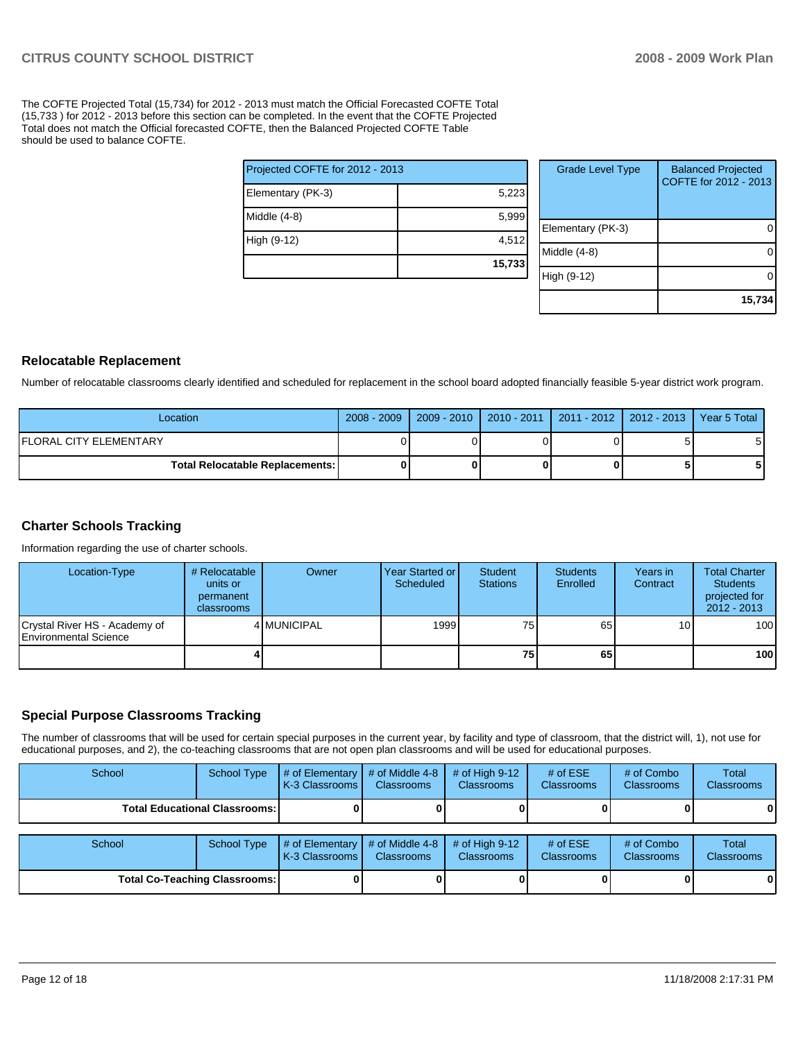The COFTE Projected Total (15,734) for 2012 - 2013 must match the Official Forecasted COFTE Total (15,733 ) for 2012 - 2013 before this section can be completed. In the event that the COFTE Projected Total does not match the Official forecasted COFTE, then the Balanced Projected COFTE Table should be used to balance COFTE.

| Projected COFTE for 2012 - 2013 |        |
|---------------------------------|--------|
| Elementary (PK-3)               | 5,223  |
| Middle (4-8)                    | 5,999  |
| High (9-12)                     | 4,512  |
|                                 | 15,733 |

| <b>Grade Level Type</b> | <b>Balanced Projected</b><br>COFTE for 2012 - 2013 |
|-------------------------|----------------------------------------------------|
| Elementary (PK-3)       |                                                    |
| Middle (4-8)            |                                                    |
| High (9-12)             |                                                    |
|                         | 15,734                                             |

#### **Relocatable Replacement**

Number of relocatable classrooms clearly identified and scheduled for replacement in the school board adopted financially feasible 5-year district work program.

| Location                               | $2008 - 2009$ |  | 2009 - 2010   2010 - 2011   2011 - 2012   2012 - 2013   Year 5 Total |  |
|----------------------------------------|---------------|--|----------------------------------------------------------------------|--|
| <b>IFLORAL CITY ELEMENTARY</b>         |               |  |                                                                      |  |
| <b>Total Relocatable Replacements:</b> | 01            |  |                                                                      |  |

#### **Charter Schools Tracking**

Information regarding the use of charter schools.

| Location-Type                                          | # Relocatable<br>units or<br>permanent<br>classrooms | Owner       | Year Started or I<br>Scheduled | Student<br><b>Stations</b> | <b>Students</b><br>Enrolled | Years in<br>Contract | <b>Total Charter</b><br><b>Students</b><br>projected for<br>$2012 - 2013$ |
|--------------------------------------------------------|------------------------------------------------------|-------------|--------------------------------|----------------------------|-----------------------------|----------------------|---------------------------------------------------------------------------|
| Crystal River HS - Academy of<br>Environmental Science |                                                      | 4 MUNICIPAL | 1999                           | 75                         | 65                          | 10 <sup>1</sup>      | 100                                                                       |
|                                                        |                                                      |             |                                | 75                         | 65                          |                      | 100                                                                       |

#### **Special Purpose Classrooms Tracking**

The number of classrooms that will be used for certain special purposes in the current year, by facility and type of classroom, that the district will, 1), not use for educational purposes, and 2), the co-teaching classrooms that are not open plan classrooms and will be used for educational purposes.

| School | <b>School Type</b>                     | # of Elementary<br>K-3 Classrooms | # of Middle 4-8<br><b>Classrooms</b> | $#$ of High 9-12<br><b>Classrooms</b> | # of $ESE$<br>Classrooms | # of Combo<br><b>Classrooms</b> | Total<br><b>Classrooms</b> |
|--------|----------------------------------------|-----------------------------------|--------------------------------------|---------------------------------------|--------------------------|---------------------------------|----------------------------|
|        | <b>Total Educational Classrooms: I</b> |                                   |                                      |                                       |                          |                                 | 01                         |
|        |                                        |                                   |                                      |                                       |                          |                                 |                            |
| School | <b>School Type</b>                     | # of Elementary<br>K-3 Classrooms | # of Middle 4-8<br><b>Classrooms</b> | $#$ of High 9-12<br><b>Classrooms</b> | # of $ESE$<br>Classrooms | # of Combo<br><b>Classrooms</b> | Total<br><b>Classrooms</b> |
|        | <b>Total Co-Teaching Classrooms:</b>   |                                   |                                      |                                       |                          |                                 | 01                         |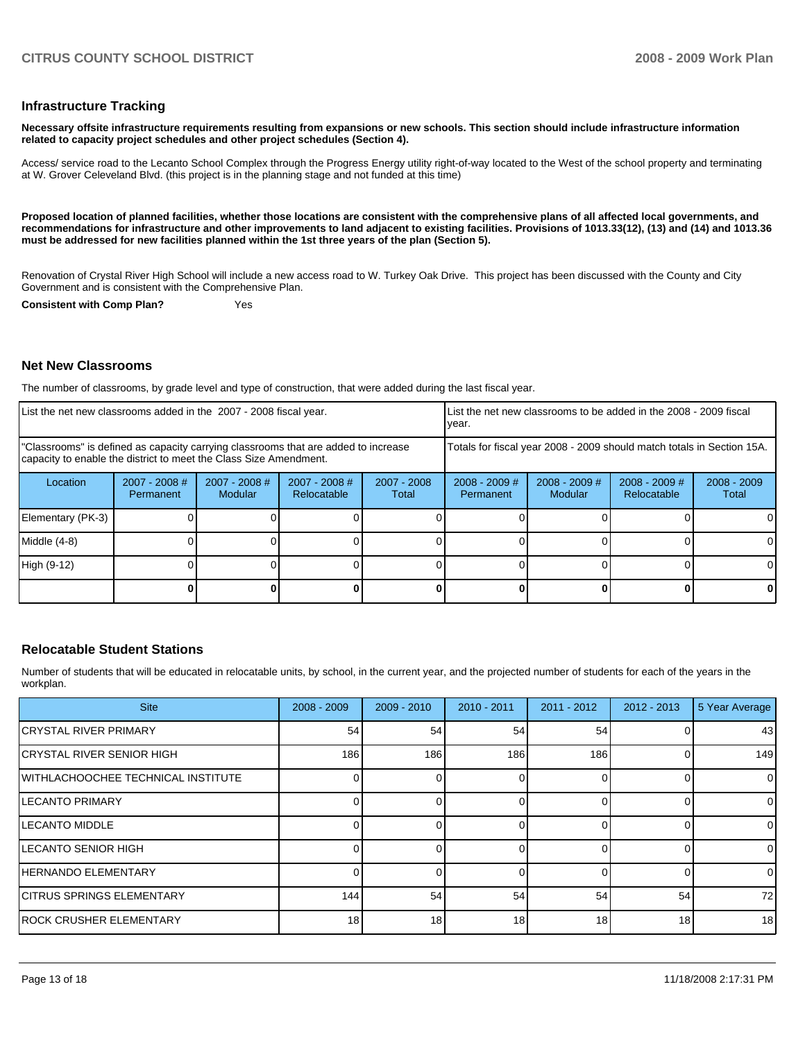#### **Infrastructure Tracking**

**Necessary offsite infrastructure requirements resulting from expansions or new schools. This section should include infrastructure information related to capacity project schedules and other project schedules (Section 4).** 

Access/ service road to the Lecanto School Complex through the Progress Energy utility right-of-way located to the West of the school property and terminating at W. Grover Celeveland Blvd. (this project is in the planning stage and not funded at this time)

**Proposed location of planned facilities, whether those locations are consistent with the comprehensive plans of all affected local governments, and recommendations for infrastructure and other improvements to land adjacent to existing facilities. Provisions of 1013.33(12), (13) and (14) and 1013.36 must be addressed for new facilities planned within the 1st three years of the plan (Section 5).** 

Renovation of Crystal River High School will include a new access road to W. Turkey Oak Drive. This project has been discussed with the County and City Government and is consistent with the Comprehensive Plan.

**Consistent with Comp Plan?** Yes

#### **Net New Classrooms**

The number of classrooms, by grade level and type of construction, that were added during the last fiscal year.

| List the net new classrooms added in the 2007 - 2008 fiscal year.                                                                                       |                              |                                   |                              |                        | year.                                                                  |                            | List the net new classrooms to be added in the 2008 - 2009 fiscal |                        |
|---------------------------------------------------------------------------------------------------------------------------------------------------------|------------------------------|-----------------------------------|------------------------------|------------------------|------------------------------------------------------------------------|----------------------------|-------------------------------------------------------------------|------------------------|
| "Classrooms" is defined as capacity carrying classrooms that are added to increase<br>capacity to enable the district to meet the Class Size Amendment. |                              |                                   |                              |                        | Totals for fiscal year 2008 - 2009 should match totals in Section 15A. |                            |                                                                   |                        |
| Location                                                                                                                                                | $2007 - 2008$ #<br>Permanent | $2007 - 2008$ #<br><b>Modular</b> | 2007 - 2008 #<br>Relocatable | $2007 - 2008$<br>Total | $2008 - 2009$ #<br>Permanent                                           | $2008 - 2009$ #<br>Modular | $2008 - 2009$ #<br><b>Relocatable</b>                             | $2008 - 2009$<br>Total |
| Elementary (PK-3)                                                                                                                                       |                              |                                   |                              |                        |                                                                        |                            |                                                                   |                        |
| Middle (4-8)                                                                                                                                            |                              |                                   |                              |                        |                                                                        |                            |                                                                   |                        |
| High (9-12)                                                                                                                                             |                              |                                   |                              |                        |                                                                        |                            |                                                                   |                        |
|                                                                                                                                                         |                              |                                   |                              |                        |                                                                        |                            |                                                                   | O                      |

#### **Relocatable Student Stations**

Number of students that will be educated in relocatable units, by school, in the current year, and the projected number of students for each of the years in the workplan.

| <b>Site</b>                                | $2008 - 2009$ | $2009 - 2010$ | $2010 - 2011$ | $2011 - 2012$ | $2012 - 2013$ | 5 Year Average |
|--------------------------------------------|---------------|---------------|---------------|---------------|---------------|----------------|
| <b>CRYSTAL RIVER PRIMARY</b>               | 54            | 54            | 54            | 54            | 0             | 43             |
| ICRYSTAL RIVER SENIOR HIGH                 | 186           | 186           | 186           | 186           | 0             | 149            |
| <b>IWITHLACHOOCHEE TECHNICAL INSTITUTE</b> |               |               |               |               | 0             | $\overline{0}$ |
| <b>ILECANTO PRIMARY</b>                    |               |               |               |               | 0             | $\overline{0}$ |
| <b>ILECANTO MIDDLE</b>                     |               |               |               |               | 0             | $\overline{0}$ |
| ILECANTO SENIOR HIGH                       |               |               |               |               | <sup>0</sup>  | $\Omega$       |
| <b>HERNANDO ELEMENTARY</b>                 |               |               |               |               | 0             | $\overline{0}$ |
| <b>ICITRUS SPRINGS ELEMENTARY</b>          | 144           | 54            | 54            | 54            | 54            | 72             |
| <b>IROCK CRUSHER ELEMENTARY</b>            | 18            | 18            | 18            | 18            | 18            | 18             |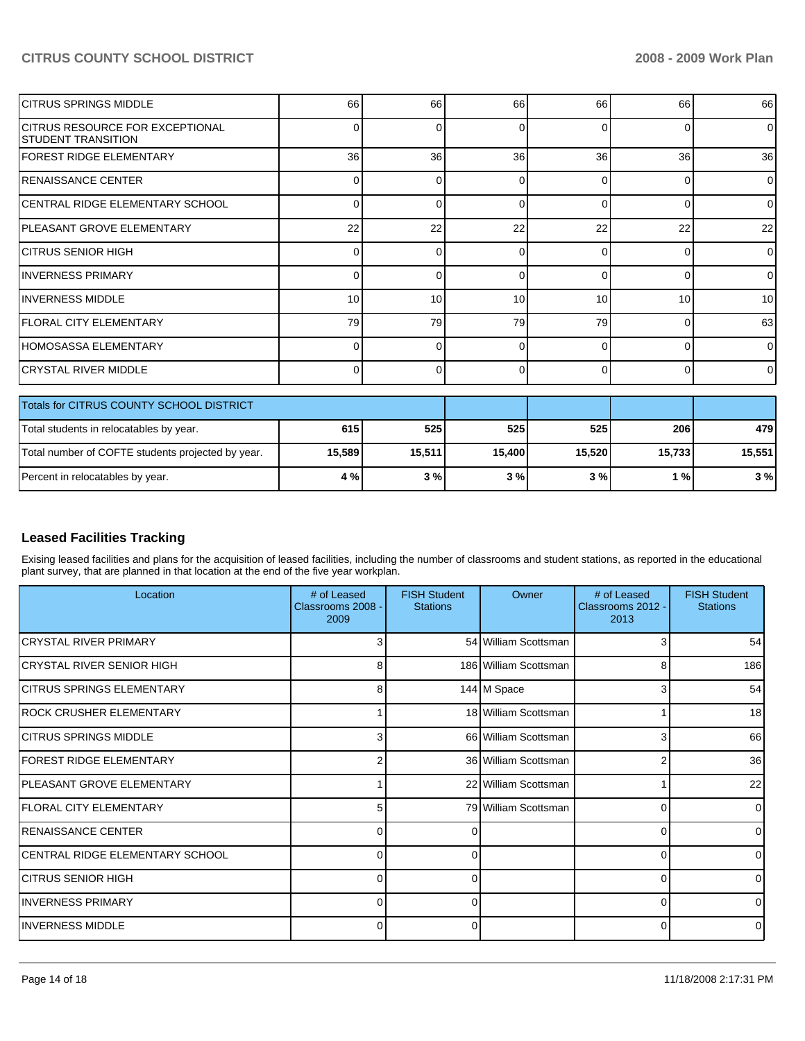| ICITRUS SPRINGS MIDDLE                                               | 66              | 66       | 66       | 66       | 66       | 66              |
|----------------------------------------------------------------------|-----------------|----------|----------|----------|----------|-----------------|
| <b>ICITRUS RESOURCE FOR EXCEPTIONAL</b><br><b>STUDENT TRANSITION</b> | 0               | ŋ        | 0        | $\Omega$ | 0        | $\Omega$        |
| <b>FOREST RIDGE ELEMENTARY</b>                                       | 36 <sup>1</sup> | 36       | 36       | 36       | 36       | 36              |
| <b>RENAISSANCE CENTER</b>                                            | $\Omega$        | ŋ        | $\Omega$ | $\Omega$ | 0        | $\overline{0}$  |
| ICENTRAL RIDGE ELEMENTARY SCHOOL                                     | $\Omega$        | $\Omega$ | $\Omega$ | $\Omega$ | $\Omega$ | $\overline{0}$  |
| IPLEASANT GROVE ELEMENTARY                                           | 22              | 22       | 22       | 22       | 22       | 22              |
| ICITRUS SENIOR HIGH                                                  | 0               | $\Omega$ | 0        | $\Omega$ | 0        | $\Omega$        |
| <b>INVERNESS PRIMARY</b>                                             | 0               | n        | $\Omega$ | $\Omega$ | 0        | $\Omega$        |
| <b>IINVERNESS MIDDLE</b>                                             | 10              | 10       | 10       | 10       | 10       | 10 <sup>1</sup> |
| <b>IFLORAL CITY ELEMENTARY</b>                                       | 79              | 79       | 79       | 79       | 0        | 63              |
| IHOMOSASSA ELEMENTARY                                                | 0               | ∩        | $\Omega$ | $\Omega$ | $\Omega$ | $\Omega$        |
| İCRYSTAL RIVER MIDDLE                                                | $\Omega$        | 0        | $\Omega$ | $\Omega$ | 0        | $\overline{0}$  |
| Totals for CITRUS COUNTY SCHOOL DISTRICT                             |                 |          |          |          |          |                 |
| Total students in relocatables by year.                              | 615             | 525      | 525      | 525      | 206      | 479             |
| Total number of COFTE students projected by year.                    | 15,589          | 15,511   | 15,400   | 15,520   | 15,733   | 15,551          |
| Percent in relocatables by year.                                     | 4%              | 3%       | 3%       | 3%       | 1%       | 3%              |

## **Leased Facilities Tracking**

Exising leased facilities and plans for the acquisition of leased facilities, including the number of classrooms and student stations, as reported in the educational plant survey, that are planned in that location at the end of the five year workplan.

| Location                         | # of Leased<br>Classrooms 2008 -<br>2009 | <b>FISH Student</b><br><b>Stations</b> | Owner                 | # of Leased<br>Classrooms 2012 -<br>2013 | <b>FISH Student</b><br><b>Stations</b> |
|----------------------------------|------------------------------------------|----------------------------------------|-----------------------|------------------------------------------|----------------------------------------|
| <b>CRYSTAL RIVER PRIMARY</b>     | 3                                        |                                        | 54 William Scottsman  | 3                                        | 54                                     |
| İCRYSTAL RIVER SENIOR HIGH       | 8                                        |                                        | 186 William Scottsman | 8                                        | 186                                    |
| CITRUS SPRINGS ELEMENTARY        | 8                                        |                                        | 144 M Space           | 3                                        | 54                                     |
| ROCK CRUSHER ELEMENTARY          |                                          |                                        | 18 William Scottsman  |                                          | 18 <sup>1</sup>                        |
| ICITRUS SPRINGS MIDDLE           | 3                                        |                                        | 66 William Scottsman  | 3                                        | 66                                     |
| <b>IFOREST RIDGE ELEMENTARY</b>  | 2                                        |                                        | 36 William Scottsman  | 2                                        | 36                                     |
| IPLEASANT GROVE ELEMENTARY       |                                          |                                        | 22 William Scottsman  |                                          | 22                                     |
| <b>FLORAL CITY ELEMENTARY</b>    | 5                                        |                                        | 79 William Scottsman  | $\Omega$                                 | $\Omega$                               |
| IRENAISSANCE CENTER              | 0                                        | 0                                      |                       | 0                                        |                                        |
| ICENTRAL RIDGE ELEMENTARY SCHOOL | $\Omega$                                 | 0                                      |                       | 0                                        |                                        |
| <b>CITRUS SENIOR HIGH</b>        | 0                                        | 0                                      |                       | 0                                        |                                        |
| <b>INVERNESS PRIMARY</b>         | $\overline{0}$                           | 0                                      |                       | 0                                        | <sup>0</sup>                           |
| <b>INVERNESS MIDDLE</b>          | 0                                        | 0                                      |                       | 0                                        |                                        |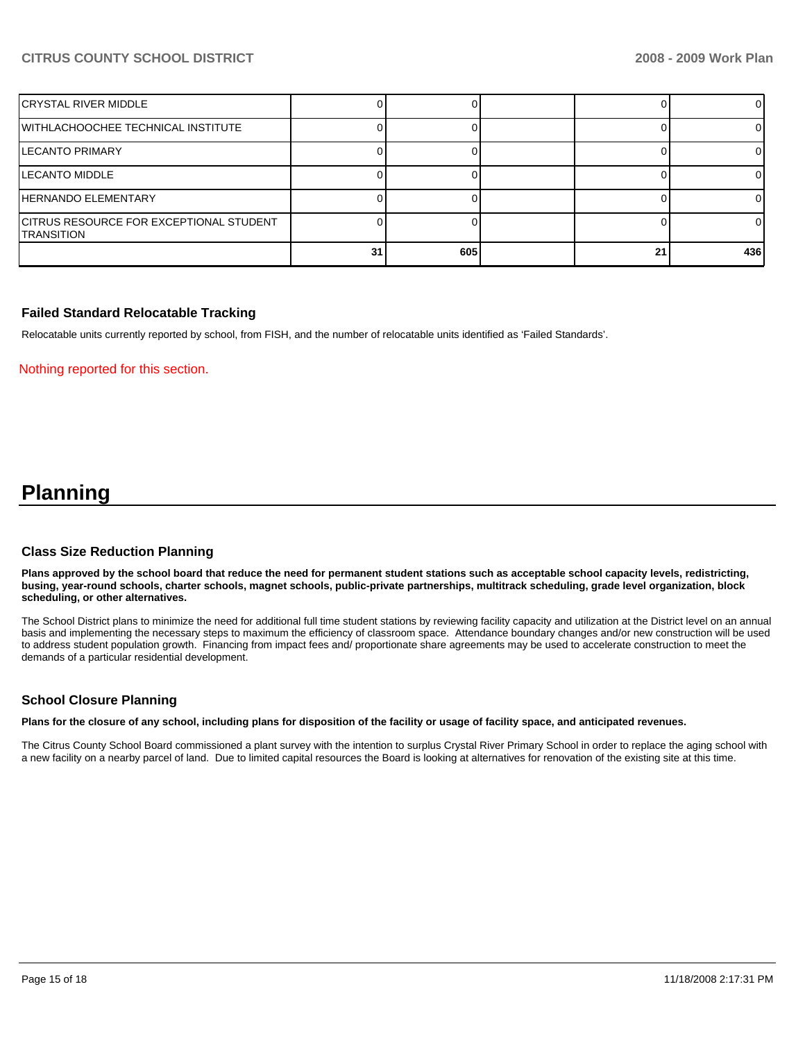| İCRYSTAL RIVER MIDDLE                                                |    |     |    |     |
|----------------------------------------------------------------------|----|-----|----|-----|
| WITHLACHOOCHEE TECHNICAL INSTITUTE                                   |    |     |    |     |
| <b>LECANTO PRIMARY</b>                                               |    |     |    |     |
| <b>LECANTO MIDDLE</b>                                                |    |     |    |     |
| HERNANDO ELEMENTARY                                                  |    |     |    |     |
| <b>CITRUS RESOURCE FOR EXCEPTIONAL STUDENT</b><br><b>ITRANSITION</b> |    |     |    | OΙ  |
|                                                                      | 31 | 605 | 21 | 436 |

#### **Failed Standard Relocatable Tracking**

Relocatable units currently reported by school, from FISH, and the number of relocatable units identified as 'Failed Standards'.

Nothing reported for this section.

# **Planning**

#### **Class Size Reduction Planning**

**Plans approved by the school board that reduce the need for permanent student stations such as acceptable school capacity levels, redistricting, busing, year-round schools, charter schools, magnet schools, public-private partnerships, multitrack scheduling, grade level organization, block scheduling, or other alternatives.** 

The School District plans to minimize the need for additional full time student stations by reviewing facility capacity and utilization at the District level on an annual basis and implementing the necessary steps to maximum the efficiency of classroom space. Attendance boundary changes and/or new construction will be used to address student population growth. Financing from impact fees and/ proportionate share agreements may be used to accelerate construction to meet the demands of a particular residential development.

#### **School Closure Planning**

**Plans for the closure of any school, including plans for disposition of the facility or usage of facility space, and anticipated revenues.** 

The Citrus County School Board commissioned a plant survey with the intention to surplus Crystal River Primary School in order to replace the aging school with a new facility on a nearby parcel of land. Due to limited capital resources the Board is looking at alternatives for renovation of the existing site at this time.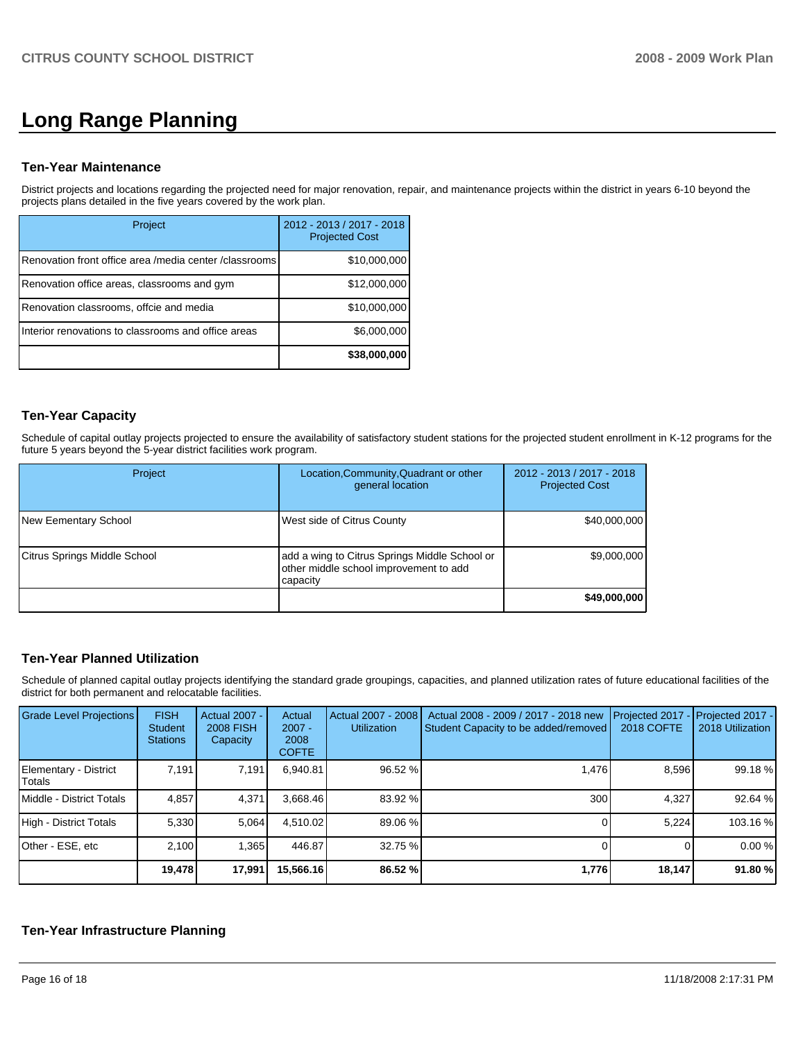# **Long Range Planning**

#### **Ten-Year Maintenance**

District projects and locations regarding the projected need for major renovation, repair, and maintenance projects within the district in years 6-10 beyond the projects plans detailed in the five years covered by the work plan.

| Project                                                | 2012 - 2013 / 2017 - 2018<br><b>Projected Cost</b> |
|--------------------------------------------------------|----------------------------------------------------|
| Renovation front office area /media center /classrooms | \$10,000,000                                       |
| Renovation office areas, classrooms and gym            | \$12,000,000                                       |
| Renovation classrooms, offcie and media                | \$10,000,000                                       |
| Interior renovations to classrooms and office areas    | \$6,000,000                                        |
|                                                        | \$38,000,000                                       |

### **Ten-Year Capacity**

Schedule of capital outlay projects projected to ensure the availability of satisfactory student stations for the projected student enrollment in K-12 programs for the future 5 years beyond the 5-year district facilities work program.

| Project                      | Location, Community, Quadrant or other<br>general location                                          | 2012 - 2013 / 2017 - 2018<br><b>Projected Cost</b> |
|------------------------------|-----------------------------------------------------------------------------------------------------|----------------------------------------------------|
| New Eementary School         | West side of Citrus County                                                                          | \$40,000,000                                       |
| Citrus Springs Middle School | add a wing to Citrus Springs Middle School or<br>other middle school improvement to add<br>capacity | \$9,000,000                                        |
|                              |                                                                                                     | \$49,000,000                                       |

### **Ten-Year Planned Utilization**

Schedule of planned capital outlay projects identifying the standard grade groupings, capacities, and planned utilization rates of future educational facilities of the district for both permanent and relocatable facilities.

| <b>Grade Level Projections</b>         | <b>FISH</b><br><b>Student</b><br><b>Stations</b> | <b>Actual 2007 -</b><br><b>2008 FISH</b><br>Capacity | Actual<br>$2007 -$<br>2008<br><b>COFTE</b> | Actual 2007 - 2008<br><b>Utilization</b> | Actual 2008 - 2009 / 2017 - 2018 new<br>Student Capacity to be added/removed | Projected 2017<br>2018 COFTE | Projected 2017 -<br>2018 Utilization |
|----------------------------------------|--------------------------------------------------|------------------------------------------------------|--------------------------------------------|------------------------------------------|------------------------------------------------------------------------------|------------------------------|--------------------------------------|
| Elementary - District<br><b>Totals</b> | 7.191                                            | 7,191                                                | 6.940.81                                   | 96.52 %                                  | 1.476                                                                        | 8,596                        | 99.18 %                              |
| Middle - District Totals               | 4.857                                            | 4,371                                                | 3.668.46                                   | 83.92 %                                  | 300                                                                          | 4.327                        | 92.64 %                              |
| High - District Totals                 | 5,330                                            | 5.064                                                | 4.510.02                                   | 89.06 %                                  |                                                                              | 5,224                        | 103.16 %                             |
| Other - ESE, etc                       | 2.100                                            | 1.365                                                | 446.87                                     | 32.75 %                                  |                                                                              |                              | 0.00%                                |
|                                        | 19,478                                           | 17,991                                               | 15,566.16                                  | 86.52 %                                  | 1,776                                                                        | 18,147                       | 91.80 %                              |

### **Ten-Year Infrastructure Planning**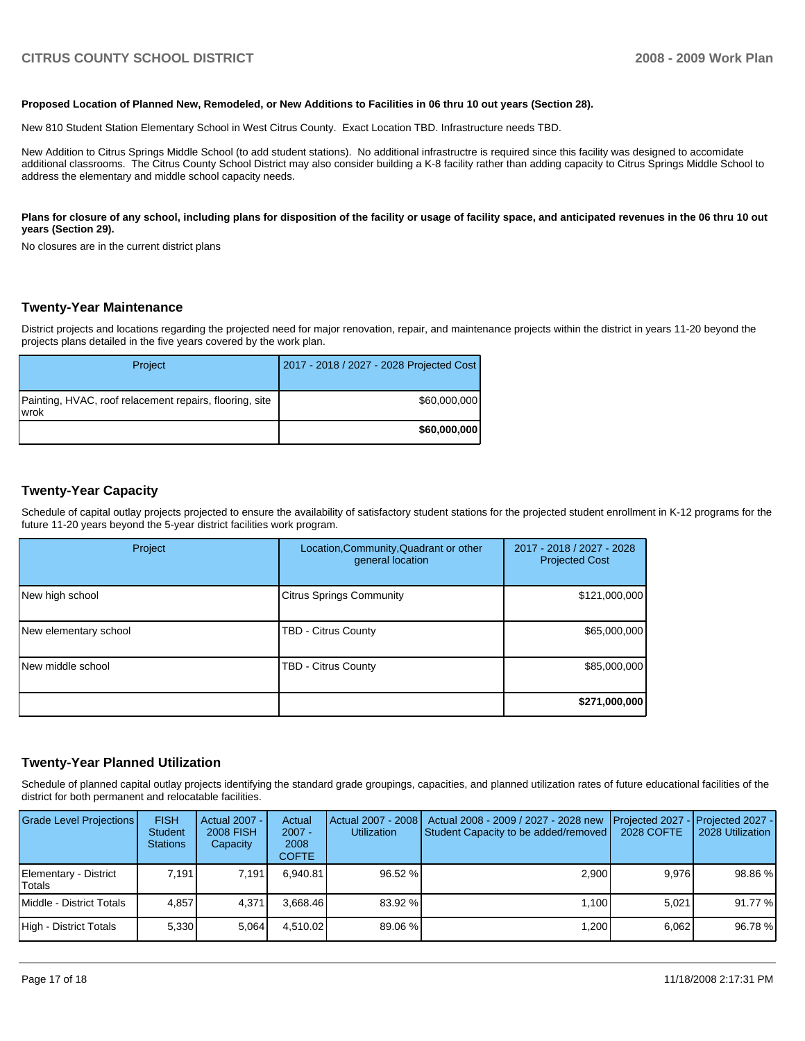#### **Proposed Location of Planned New, Remodeled, or New Additions to Facilities in 06 thru 10 out years (Section 28).**

New 810 Student Station Elementary School in West Citrus County. Exact Location TBD. Infrastructure needs TBD.

New Addition to Citrus Springs Middle School (to add student stations). No additional infrastructre is required since this facility was designed to accomidate additional classrooms. The Citrus County School District may also consider building a K-8 facility rather than adding capacity to Citrus Springs Middle School to address the elementary and middle school capacity needs.

#### Plans for closure of any school, including plans for disposition of the facility or usage of facility space, and anticipated revenues in the 06 thru 10 out **years (Section 29).**

No closures are in the current district plans

#### **Twenty-Year Maintenance**

District projects and locations regarding the projected need for major renovation, repair, and maintenance projects within the district in years 11-20 beyond the projects plans detailed in the five years covered by the work plan.

| Project                                                         | 2017 - 2018 / 2027 - 2028 Projected Cost |
|-----------------------------------------------------------------|------------------------------------------|
| Painting, HVAC, roof relacement repairs, flooring, site<br>wrok | \$60,000,000                             |
|                                                                 | \$60,000,000                             |

#### **Twenty-Year Capacity**

Schedule of capital outlay projects projected to ensure the availability of satisfactory student stations for the projected student enrollment in K-12 programs for the future 11-20 years beyond the 5-year district facilities work program.

| Project               | Location, Community, Quadrant or other<br>general location | 2017 - 2018 / 2027 - 2028<br><b>Projected Cost</b> |
|-----------------------|------------------------------------------------------------|----------------------------------------------------|
| New high school       | <b>Citrus Springs Community</b>                            | \$121,000,000                                      |
| New elementary school | TBD - Citrus County                                        | \$65,000,000                                       |
| New middle school     | TBD - Citrus County                                        | \$85,000,000                                       |
|                       |                                                            | \$271,000,000                                      |

#### **Twenty-Year Planned Utilization**

Schedule of planned capital outlay projects identifying the standard grade groupings, capacities, and planned utilization rates of future educational facilities of the district for both permanent and relocatable facilities.

| <b>Grade Level Projections</b>  | <b>FISH</b><br><b>Student</b><br><b>Stations</b> | Actual 2007 -<br><b>2008 FISH</b><br>Capacity | Actual<br>$2007 -$<br>2008<br><b>COFTE</b> | Actual 2007 - 2008<br><b>Utilization</b> | Actual 2008 - 2009 / 2027 - 2028 new<br>Student Capacity to be added/removed | Projected 2027 - Projected 2027 -<br>2028 COFTE | 2028 Utilization |
|---------------------------------|--------------------------------------------------|-----------------------------------------------|--------------------------------------------|------------------------------------------|------------------------------------------------------------------------------|-------------------------------------------------|------------------|
| Elementary - District<br>Totals | 7.191                                            | 7.191                                         | 6.940.81                                   | 96.52 %                                  | 2,900                                                                        | 9.976                                           | 98.86 %          |
| Middle - District Totals        | 4.857                                            | 4.371                                         | 3.668.46                                   | 83.92 %                                  | 1.100                                                                        | 5.021                                           | 91.77 %          |
| High - District Totals          | 5,330                                            | 5.064                                         | 4.510.02                                   | 89.06 %                                  | 1,200                                                                        | 6.062                                           | 96.78 %          |